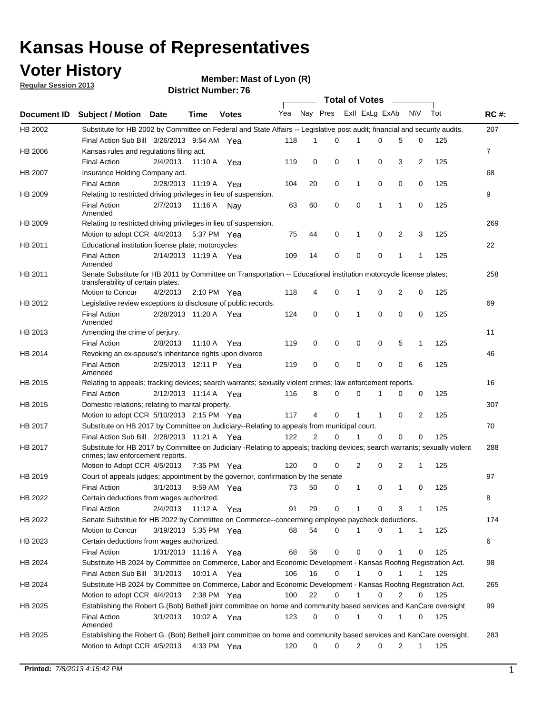#### **Voter History Regular Session 2013**

**Member: Mast of Lyon (R)** 

|             |                                                                                                                                                                |                       |             |               |     |                |          | <b>Total of Votes</b> |          |             |                |     |             |
|-------------|----------------------------------------------------------------------------------------------------------------------------------------------------------------|-----------------------|-------------|---------------|-----|----------------|----------|-----------------------|----------|-------------|----------------|-----|-------------|
| Document ID | Subject / Motion Date                                                                                                                                          |                       | Time        | <b>Votes</b>  | Yea | Nay Pres       |          | Exll ExLg ExAb        |          |             | <b>NV</b>      | Tot | <b>RC#:</b> |
| HB 2002     | Substitute for HB 2002 by Committee on Federal and State Affairs -- Legislative post audit; financial and security audits.                                     |                       |             |               |     |                |          |                       |          |             |                |     | 207         |
|             | Final Action Sub Bill 3/26/2013 9:54 AM Yea                                                                                                                    |                       |             |               | 118 | 1              | 0        | 1                     | 0        | 5           | 0              | 125 |             |
| HB 2006     | Kansas rules and regulations filing act.                                                                                                                       |                       |             |               |     |                |          |                       |          |             |                |     | 7           |
|             | <b>Final Action</b>                                                                                                                                            | 2/4/2013              | 11:10 A     | Yea           | 119 | 0              | 0        | 1                     | 0        | 3           | 2              | 125 |             |
| HB 2007     | Insurance Holding Company act.                                                                                                                                 |                       |             |               |     |                |          |                       |          |             |                |     | 68          |
|             | <b>Final Action</b>                                                                                                                                            | 2/28/2013 11:19 A     |             | Yea           | 104 | 20             | 0        | 1                     | 0        | 0           | 0              | 125 |             |
| HB 2009     | Relating to restricted driving privileges in lieu of suspension.                                                                                               |                       |             |               |     |                |          |                       |          |             |                |     | 9           |
|             | <b>Final Action</b><br>Amended                                                                                                                                 | 2/7/2013              | 11:16 A     | Nav           | 63  | 60             | 0        | 0                     | 1        | 1           | 0              | 125 |             |
| HB 2009     | Relating to restricted driving privileges in lieu of suspension.                                                                                               |                       |             |               |     |                |          |                       |          |             |                |     | 269         |
|             | Motion to adopt CCR 4/4/2013                                                                                                                                   |                       | 5:37 PM Yea |               | 75  | 44             | 0        | 1                     | 0        | 2           | 3              | 125 |             |
| HB 2011     | Educational institution license plate; motorcycles                                                                                                             |                       |             |               |     |                |          |                       |          |             |                |     | 22          |
|             | <b>Final Action</b><br>Amended                                                                                                                                 | 2/14/2013 11:19 A Yea |             |               | 109 | 14             | 0        | 0                     | 0        | 1           | $\mathbf{1}$   | 125 |             |
| HB 2011     | Senate Substitute for HB 2011 by Committee on Transportation -- Educational institution motorcycle license plates;                                             |                       |             |               |     |                |          |                       |          |             |                |     | 258         |
|             | transferability of certain plates.                                                                                                                             |                       |             |               |     |                |          |                       |          |             |                |     |             |
|             | Motion to Concur                                                                                                                                               | 4/2/2013              |             | 2:10 PM Yea   | 118 | 4              | 0        | 1                     | 0        | 2           | 0              | 125 |             |
| HB 2012     | Legislative review exceptions to disclosure of public records.                                                                                                 |                       |             |               |     |                |          |                       |          |             |                | 125 | 69          |
|             | <b>Final Action</b><br>Amended                                                                                                                                 | 2/28/2013 11:20 A     |             | Yea           | 124 | 0              | 0        | 1                     | 0        | 0           | 0              |     |             |
| HB 2013     | Amending the crime of perjury.                                                                                                                                 |                       |             |               |     |                |          |                       |          |             |                |     | 11          |
|             | <b>Final Action</b>                                                                                                                                            | 2/8/2013              | 11:10 A     | Yea           | 119 | 0              | 0        | 0                     | 0        | 5           | 1              | 125 |             |
| HB 2014     | Revoking an ex-spouse's inheritance rights upon divorce                                                                                                        |                       |             |               |     |                |          |                       |          |             |                |     | 46          |
|             | <b>Final Action</b><br>Amended                                                                                                                                 | 2/25/2013 12:11 P     |             | Yea           | 119 | 0              | 0        | 0                     | 0        | $\mathbf 0$ | 6              | 125 |             |
| HB 2015     | Relating to appeals; tracking devices; search warrants; sexually violent crimes; law enforcement reports.                                                      |                       |             |               |     |                |          |                       |          |             |                |     | 16          |
|             | <b>Final Action</b>                                                                                                                                            | 2/12/2013 11:14 A Yea |             |               | 116 | 8              | 0        | $\Omega$              |          | 0           | 0              | 125 |             |
| HB 2015     | Domestic relations; relating to marital property.                                                                                                              |                       |             |               |     |                |          |                       |          |             |                |     | 307         |
|             | Motion to adopt CCR 5/10/2013 2:15 PM Yea                                                                                                                      |                       |             |               | 117 | 4              | $\Omega$ | 1                     | 1        | 0           | $\overline{2}$ | 125 |             |
| HB 2017     | Substitute on HB 2017 by Committee on Judiciary--Relating to appeals from municipal court.                                                                     |                       |             |               |     |                |          |                       |          |             |                |     | 70          |
|             | Final Action Sub Bill 2/28/2013 11:21 A Yea                                                                                                                    |                       |             |               | 122 | $\overline{2}$ | $\Omega$ | 1                     | $\Omega$ | 0           | 0              | 125 |             |
| HB 2017     | Substitute for HB 2017 by Committee on Judiciary -Relating to appeals; tracking devices; search warrants; sexually violent<br>crimes; law enforcement reports. |                       |             |               |     |                |          |                       |          |             |                |     | 288         |
|             | Motion to Adopt CCR 4/5/2013                                                                                                                                   |                       | 7:35 PM Yea |               | 120 | 0              | 0        | 2                     | 0        | 2           | 1              | 125 |             |
| HB 2019     | Court of appeals judges; appointment by the governor, confirmation by the senate                                                                               |                       |             |               |     |                |          |                       |          |             |                |     | 97          |
|             | <b>Final Action</b>                                                                                                                                            | 3/1/2013              | 9:59 AM Yea |               | 73  | 50             | 0        | 1                     | 0        | 1           | 0              | 125 |             |
| HB 2022     | Certain deductions from wages authorized.                                                                                                                      |                       |             |               |     |                |          |                       |          |             |                |     | В           |
|             | <b>Final Action</b>                                                                                                                                            | 2/4/2013              | 11:12 A Yea |               | 91  | 29             | 0        | 1                     | 0        | 3           | 1              | 125 |             |
| HB 2022     | Senate Substitue for HB 2022 by Committee on Commerce--concerming employee paycheck deductions.                                                                |                       |             |               |     |                |          |                       |          |             |                |     | 174         |
|             | Motion to Concur                                                                                                                                               | 3/19/2013 5:35 PM Yea |             |               | 68  | 54             | 0        | 1                     | 0        | 1           | $\mathbf{1}$   | 125 |             |
| HB 2023     | Certain deductions from wages authorized.                                                                                                                      |                       |             |               |     |                |          |                       |          |             |                |     | 6           |
|             | <b>Final Action</b>                                                                                                                                            | 1/31/2013 11:16 A Yea |             |               | 68  | 56             | 0        | 0                     | 0        | 1           | 0              | 125 |             |
| HB 2024     | Substitute HB 2024 by Committee on Commerce, Labor and Economic Development - Kansas Roofing Registration Act.                                                 |                       |             |               |     |                |          |                       |          |             |                |     | 98          |
|             | Final Action Sub Bill 3/1/2013                                                                                                                                 |                       |             | 10:01 A Yea   | 106 | 16             | 0        | 1                     | 0        |             |                | 125 |             |
| HB 2024     | Substitute HB 2024 by Committee on Commerce, Labor and Economic Development - Kansas Roofing Registration Act.                                                 |                       |             |               |     |                |          |                       |          |             |                |     | 265         |
|             | Motion to adopt CCR 4/4/2013                                                                                                                                   |                       |             | $2:38$ PM Yea | 100 | 22             | 0        |                       | 0        | 2           | 0              | 125 |             |
| HB 2025     | Establishing the Robert G.(Bob) Bethell joint committee on home and community based services and KanCare oversight                                             |                       |             |               |     |                |          |                       |          |             |                |     | 99          |
|             | <b>Final Action</b><br>Amended                                                                                                                                 | 3/1/2013              |             | 10:02 A Yea   | 123 | 0              | 0        | 1                     | 0        | 1           | 0              | 125 |             |
| HB 2025     | Establishing the Robert G. (Bob) Bethell joint committee on home and community based services and KanCare oversight.                                           |                       |             |               |     |                |          |                       |          |             |                |     | 283         |
|             | Motion to Adopt CCR 4/5/2013                                                                                                                                   |                       |             | 4:33 PM Yea   | 120 | 0              | 0        | 2                     | 0        | 2           | $\mathbf{1}$   | 125 |             |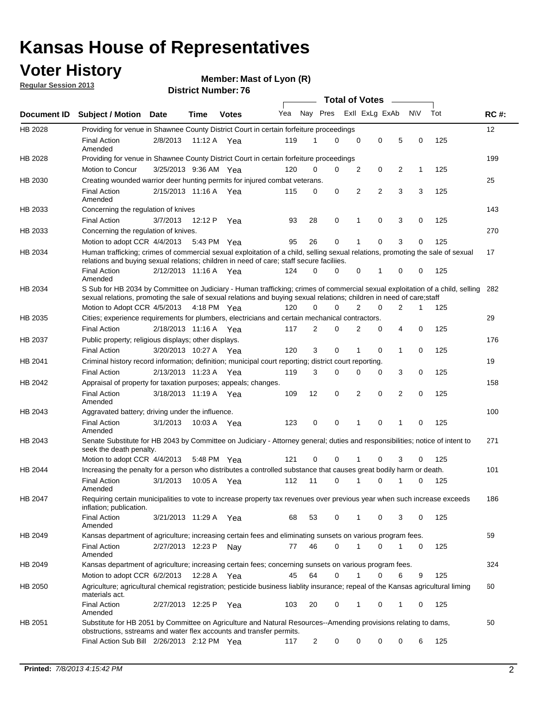### **Voter History**

**Member: Mast of Lyon (R)** 

**Regular Session 2013**

|                |                                                                                                                                                                                                                                                        |                       |             |              |     |                         | <b>Total of Votes</b> |   |   |                |           |     |             |
|----------------|--------------------------------------------------------------------------------------------------------------------------------------------------------------------------------------------------------------------------------------------------------|-----------------------|-------------|--------------|-----|-------------------------|-----------------------|---|---|----------------|-----------|-----|-------------|
| Document ID    | <b>Subject / Motion</b>                                                                                                                                                                                                                                | Date                  | Time        | <b>Votes</b> | Yea | Nay Pres Exll ExLg ExAb |                       |   |   |                | <b>NV</b> | Tot | <b>RC#:</b> |
| HB 2028        | Providing for venue in Shawnee County District Court in certain forfeiture proceedings                                                                                                                                                                 |                       |             |              |     |                         |                       |   |   |                |           |     | 12          |
|                | <b>Final Action</b><br>Amended                                                                                                                                                                                                                         | 2/8/2013              | 11:12 A Yea |              | 119 | 1                       | $\Omega$              | 0 | 0 | 5              | 0         | 125 |             |
| HB 2028        | Providing for venue in Shawnee County District Court in certain forfeiture proceedings                                                                                                                                                                 |                       |             |              |     |                         |                       |   |   |                |           |     | 199         |
|                | Motion to Concur                                                                                                                                                                                                                                       | 3/25/2013 9:36 AM Yea |             |              | 120 | 0                       | 0                     | 2 | 0 | 2              | 1         | 125 |             |
| HB 2030        | Creating wounded warrior deer hunting permits for injured combat veterans.                                                                                                                                                                             |                       |             |              |     |                         |                       |   |   |                |           |     | 25          |
|                | <b>Final Action</b><br>Amended                                                                                                                                                                                                                         | 2/15/2013 11:16 A     |             | Yea          | 115 | 0                       | 0                     | 2 | 2 | 3              | 3         | 125 |             |
| HB 2033        | Concerning the regulation of knives                                                                                                                                                                                                                    |                       |             |              |     |                         |                       |   |   |                |           |     | 143         |
|                | <b>Final Action</b>                                                                                                                                                                                                                                    | 3/7/2013              | 12:12 P     | Yea          | 93  | 28                      | 0                     | 1 | 0 | 3              | 0         | 125 |             |
| HB 2033        | Concerning the regulation of knives.                                                                                                                                                                                                                   |                       |             |              |     |                         |                       |   |   |                |           |     | 270         |
|                | Motion to adopt CCR 4/4/2013                                                                                                                                                                                                                           |                       | 5:43 PM Yea |              | 95  | 26                      | 0                     |   | 0 | 3              | 0         | 125 |             |
| HB 2034        | Human trafficking; crimes of commercial sexual exploitation of a child, selling sexual relations, promoting the sale of sexual<br>relations and buying sexual relations; children in need of care; staff secure faciliies.                             |                       |             |              |     |                         |                       |   |   |                |           |     | 17          |
|                | <b>Final Action</b><br>Amended                                                                                                                                                                                                                         | 2/12/2013 11:16 A Yea |             |              | 124 | 0                       | 0                     | 0 | 1 | 0              | 0         | 125 |             |
| HB 2034        | S Sub for HB 2034 by Committee on Judiciary - Human trafficking; crimes of commercial sexual exploitation of a child, selling<br>sexual relations, promoting the sale of sexual relations and buying sexual relations; children in need of care; staff |                       |             |              |     |                         |                       |   |   |                |           |     | 282         |
|                | Motion to Adopt CCR 4/5/2013 4:18 PM Yea                                                                                                                                                                                                               |                       |             |              | 120 | 0                       | 0                     | 2 | 0 | $\overline{2}$ | 1         | 125 |             |
| HB 2035        | Cities; experience requirements for plumbers, electricians and certain mechanical contractors.                                                                                                                                                         |                       |             |              |     |                         |                       |   |   |                |           |     | 29          |
|                | <b>Final Action</b>                                                                                                                                                                                                                                    | 2/18/2013 11:16 A     |             | Yea          | 117 | 2                       | 0                     | 2 | 0 | 4              | 0         | 125 |             |
| HB 2037        | Public property; religious displays; other displays.                                                                                                                                                                                                   |                       |             |              |     |                         |                       |   |   |                |           |     | 176         |
|                | <b>Final Action</b>                                                                                                                                                                                                                                    | 3/20/2013 10:27 A Yea |             |              | 120 | 3                       | 0                     | 1 | 0 | 1              | 0         | 125 |             |
| HB 2041        | Criminal history record information; definition; municipal court reporting; district court reporting.                                                                                                                                                  |                       |             |              |     |                         |                       |   |   |                |           |     | 19          |
|                | <b>Final Action</b>                                                                                                                                                                                                                                    | 2/13/2013 11:23 A     |             | Yea          | 119 | 3                       | 0                     | 0 | 0 | 3              | 0         | 125 |             |
| HB 2042        | Appraisal of property for taxation purposes; appeals; changes.                                                                                                                                                                                         |                       |             |              |     |                         |                       |   |   |                |           |     | 158         |
|                | <b>Final Action</b><br>Amended                                                                                                                                                                                                                         | 3/18/2013 11:19 A     |             | Yea          | 109 | 12                      | 0                     | 2 | 0 | 2              | 0         | 125 |             |
| HB 2043        | Aggravated battery; driving under the influence.                                                                                                                                                                                                       |                       |             |              |     |                         |                       |   |   |                |           |     | 100         |
|                | <b>Final Action</b><br>Amended                                                                                                                                                                                                                         | 3/1/2013              | 10:03 A Yea |              | 123 | 0                       | 0                     | 1 | 0 | 1              | 0         | 125 |             |
| HB 2043        | Senate Substitute for HB 2043 by Committee on Judiciary - Attorney general; duties and responsibilities; notice of intent to<br>seek the death penalty.                                                                                                |                       |             |              |     |                         |                       |   |   |                |           |     | 271         |
|                | Motion to adopt CCR 4/4/2013                                                                                                                                                                                                                           |                       | 5:48 PM Yea |              | 121 | 0                       | 0                     |   | 0 | 3              | 0         | 125 |             |
| <b>HB 2044</b> | Increasing the penalty for a person who distributes a controlled substance that causes great bodily harm or death.                                                                                                                                     |                       |             |              |     |                         |                       |   |   |                |           |     | 101         |
|                | <b>Final Action</b><br>Amended                                                                                                                                                                                                                         | 3/1/2013              | 10:05 A     | Yea          | 112 | 11                      | $\Omega$              | 1 | 0 | 1              | 0         | 125 |             |
| HB 2047        | Requiring certain municipalities to vote to increase property tax revenues over previous year when such increase exceeds<br>inflation; publication.                                                                                                    |                       |             |              |     |                         |                       |   |   |                |           |     | 186         |
|                | <b>Final Action</b><br>Amended                                                                                                                                                                                                                         | 3/21/2013 11:29 A Yea |             |              | 68  | 53                      | 0                     |   | 0 | 3              | 0         | 125 |             |
| HB 2049        | Kansas department of agriculture; increasing certain fees and eliminating sunsets on various program fees.                                                                                                                                             |                       |             |              |     |                         |                       |   |   |                |           |     | 59          |
|                | <b>Final Action</b><br>Amended                                                                                                                                                                                                                         | 2/27/2013 12:23 P     |             | Nay          | 77  | 46                      | 0                     |   | 0 | 1              | 0         | 125 |             |
| HB 2049        | Kansas department of agriculture; increasing certain fees; concerning sunsets on various program fees.                                                                                                                                                 |                       |             |              |     |                         |                       |   |   |                |           |     | 324         |
|                | Motion to adopt CCR 6/2/2013                                                                                                                                                                                                                           |                       | 12:28 A     | Yea          | 45  | 64                      | 0                     | 1 | 0 | 6              | 9         | 125 |             |
| HB 2050        | Agriculture; agricultural chemical registration; pesticide business liablity insurance; repeal of the Kansas agricultural liming<br>materials act.                                                                                                     |                       |             |              |     |                         |                       |   |   |                |           |     | 60          |
|                | <b>Final Action</b><br>Amended                                                                                                                                                                                                                         | 2/27/2013 12:25 P     |             | Yea          | 103 | 20                      | 0                     | 1 | 0 | 1              | 0         | 125 |             |
| HB 2051        | Substitute for HB 2051 by Committee on Agriculture and Natural Resources--Amending provisions relating to dams,<br>obstructions, sstreams and water flex accounts and transfer permits.                                                                |                       |             |              |     |                         |                       |   |   |                |           |     | 50          |
|                | Final Action Sub Bill 2/26/2013 2:12 PM Yea                                                                                                                                                                                                            |                       |             |              | 117 | 2                       | 0                     | 0 | 0 | 0              | 6         | 125 |             |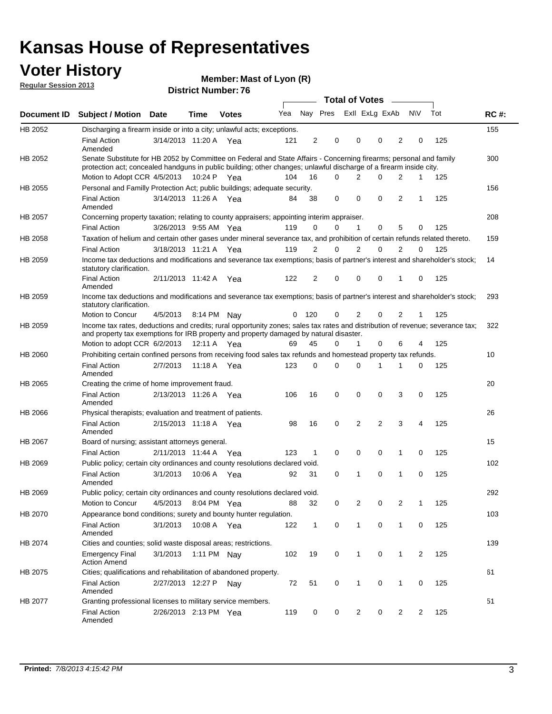## **Voter History**

**Member: Mast of Lyon (R)** 

**Regular Session 2013**

|                |                                                                                                                                                                                                                                          |                       |             |              |     |                |                         | Total of Votes _____ |             |                |          |     |             |
|----------------|------------------------------------------------------------------------------------------------------------------------------------------------------------------------------------------------------------------------------------------|-----------------------|-------------|--------------|-----|----------------|-------------------------|----------------------|-------------|----------------|----------|-----|-------------|
| Document ID    | <b>Subject / Motion Date</b>                                                                                                                                                                                                             |                       | <b>Time</b> | <b>Votes</b> | Yea |                | Nay Pres Exll ExLg ExAb |                      |             |                | N\V      | Tot | <b>RC#:</b> |
| HB 2052        | Discharging a firearm inside or into a city; unlawful acts; exceptions.                                                                                                                                                                  |                       |             |              |     |                |                         |                      |             |                |          |     | 155         |
|                | <b>Final Action</b><br>Amended                                                                                                                                                                                                           | 3/14/2013 11:20 A Yea |             |              | 121 | $\overline{2}$ | 0                       | 0                    | $\Omega$    | 2              | 0        | 125 |             |
| HB 2052        | Senate Substitute for HB 2052 by Committee on Federal and State Affairs - Concerning firearms; personal and family<br>protection act; concealed handguns in public building; other changes; unlawful discharge of a firearm inside city. |                       |             |              |     |                |                         |                      |             |                |          |     | 300         |
|                | Motion to Adopt CCR 4/5/2013 10:24 P Yea                                                                                                                                                                                                 |                       |             |              | 104 | 16             | $\Omega$                | $\overline{2}$       | 0           | 2              | 1        | 125 |             |
| <b>HB 2055</b> | Personal and Familly Protection Act; public buildings; adequate security.                                                                                                                                                                |                       |             |              |     |                |                         |                      |             |                |          |     | 156         |
|                | <b>Final Action</b><br>Amended                                                                                                                                                                                                           | 3/14/2013 11:26 A Yea |             |              | 84  | 38             | 0                       | $\mathbf 0$          | 0           | $\overline{2}$ | 1        | 125 |             |
| HB 2057        | Concerning property taxation; relating to county appraisers; appointing interim appraiser.                                                                                                                                               |                       |             |              |     |                |                         |                      |             |                |          |     | 208         |
|                | <b>Final Action</b>                                                                                                                                                                                                                      | 3/26/2013 9:55 AM Yea |             |              | 119 | 0              | 0                       | 1                    | 0           | 5              | 0        | 125 |             |
| HB 2058        | Taxation of helium and certain other gases under mineral severance tax, and prohibition of certain refunds related thereto.                                                                                                              |                       |             |              |     |                |                         |                      |             |                |          |     | 159         |
|                | <b>Final Action</b>                                                                                                                                                                                                                      | 3/18/2013 11:21 A Yea |             |              | 119 | 2              | $\Omega$                | $\overline{2}$       | $\Omega$    | $\overline{2}$ | $\Omega$ | 125 |             |
| HB 2059        | Income tax deductions and modifications and severance tax exemptions; basis of partner's interest and shareholder's stock;<br>statutory clarification.                                                                                   |                       |             |              |     |                |                         |                      |             |                |          |     | 14          |
|                | <b>Final Action</b><br>Amended                                                                                                                                                                                                           | 2/11/2013 11:42 A     |             | Yea          | 122 | $\overline{2}$ | 0                       | 0                    | 0           | 1              | 0        | 125 |             |
| HB 2059        | Income tax deductions and modifications and severance tax exemptions; basis of partner's interest and shareholder's stock;<br>statutory clarification.                                                                                   |                       |             |              |     |                |                         |                      |             |                |          |     | 293         |
|                | Motion to Concur                                                                                                                                                                                                                         | 4/5/2013              |             | 8:14 PM Nay  | 0   | 120            | 0                       | 2                    | 0           | $\overline{2}$ | 1        | 125 |             |
| HB 2059        | Income tax rates, deductions and credits; rural opportunity zones; sales tax rates and distribution of revenue; severance tax;<br>and property tax exemptions for IRB property and property damaged by natural disaster.                 |                       |             |              |     |                |                         |                      |             |                |          |     | 322         |
|                | Motion to adopt CCR 6/2/2013                                                                                                                                                                                                             |                       | 12:11 A     | Yea          | 69  | 45             | 0                       | 1                    | 0           | 6              | 4        | 125 |             |
| <b>HB 2060</b> | Prohibiting certain confined persons from receiving food sales tax refunds and homestead property tax refunds.                                                                                                                           |                       |             |              |     |                |                         |                      |             |                |          |     | 10          |
|                | <b>Final Action</b><br>Amended                                                                                                                                                                                                           | 2/7/2013              | 11:18 A     | Yea          | 123 | 0              | $\Omega$                | $\Omega$             | 1           | 1              | 0        | 125 |             |
| HB 2065        | Creating the crime of home improvement fraud.                                                                                                                                                                                            |                       |             |              |     |                |                         |                      |             |                |          |     | 20          |
|                | <b>Final Action</b><br>Amended                                                                                                                                                                                                           | 2/13/2013 11:26 A Yea |             |              | 106 | 16             | 0                       | 0                    | 0           | 3              | 0        | 125 |             |
| HB 2066        | Physical therapists; evaluation and treatment of patients.                                                                                                                                                                               |                       |             |              |     |                |                         |                      |             |                |          |     | 26          |
|                | <b>Final Action</b><br>Amended                                                                                                                                                                                                           | 2/15/2013 11:18 A Yea |             |              | 98  | 16             | 0                       | $\overline{2}$       | 2           | 3              | 4        | 125 |             |
| <b>HB 2067</b> | Board of nursing; assistant attorneys general.                                                                                                                                                                                           |                       |             |              |     |                |                         |                      |             |                |          |     | 15          |
|                | <b>Final Action</b>                                                                                                                                                                                                                      | 2/11/2013 11:44 A     |             | Yea          | 123 | $\mathbf{1}$   | 0                       | 0                    | $\mathbf 0$ | 1              | 0        | 125 |             |
| HB 2069        | Public policy; certain city ordinances and county resolutions declared void.                                                                                                                                                             |                       |             |              |     |                |                         |                      |             |                |          |     | 102         |
|                | <b>Final Action</b><br>Amended                                                                                                                                                                                                           | 3/1/2013              | 10:06 A     | Yea          | 92  | 31             | 0                       | 1                    | 0           | 1              | 0        | 125 |             |
| HB 2069        | Public policy; certain city ordinances and county resolutions declared void.                                                                                                                                                             |                       |             |              |     |                |                         |                      |             |                |          |     | 292         |
|                | Motion to Concur                                                                                                                                                                                                                         | 4/5/2013              |             | 8:04 PM Yea  | 88  | 32             | 0                       | $\overline{2}$       | 0           | $\overline{2}$ | 1        | 125 |             |
| HB 2070        | Appearance bond conditions; surety and bounty hunter regulation.                                                                                                                                                                         |                       |             |              |     |                |                         |                      |             |                |          |     | 103         |
|                | <b>Final Action</b><br>Amended                                                                                                                                                                                                           | 3/1/2013              |             | 10:08 A Yea  | 122 | $\mathbf{1}$   | 0                       | 1                    | $\mathbf 0$ | 1              | 0        | 125 |             |
| HB 2074        | Cities and counties; solid waste disposal areas; restrictions.                                                                                                                                                                           |                       |             |              |     |                |                         |                      |             |                |          |     | 139         |
|                | <b>Emergency Final</b><br><b>Action Amend</b>                                                                                                                                                                                            | 3/1/2013              |             | 1:11 PM Nay  | 102 | 19             | 0                       | $\mathbf{1}$         | 0           | 1              | 2        | 125 |             |
| HB 2075        | Cities; qualifications and rehabilitation of abandoned property.                                                                                                                                                                         |                       |             |              |     |                |                         |                      |             |                |          |     | 61          |
|                | <b>Final Action</b><br>Amended                                                                                                                                                                                                           | 2/27/2013 12:27 P     |             | Nav          | 72  | 51             | 0                       | 1                    | 0           | 1              | 0        | 125 |             |
| HB 2077        | Granting professional licenses to military service members.<br><b>Final Action</b><br>Amended                                                                                                                                            | 2/26/2013 2:13 PM Yea |             |              | 119 | 0              | 0                       | $\overline{2}$       | 0           | $\overline{2}$ | 2        | 125 | 51          |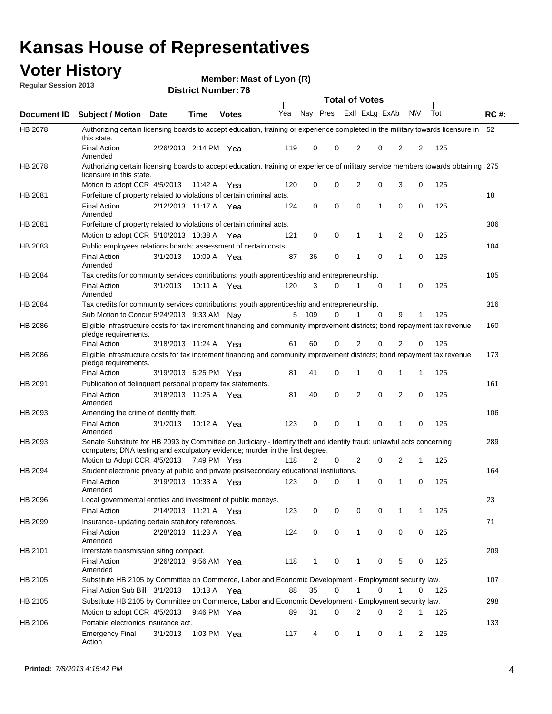# **Voter History**<br> **Regular Session 2013**

**Member: Mast of Lyon (R)** 

| <b>Regular Session 2013</b> |  |
|-----------------------------|--|
|                             |  |

|                |                                                                                                                                                                                                       |                       |             |              |     |       | <b>Total of Votes</b>   |                |          | $\sim$         |                |     |             |
|----------------|-------------------------------------------------------------------------------------------------------------------------------------------------------------------------------------------------------|-----------------------|-------------|--------------|-----|-------|-------------------------|----------------|----------|----------------|----------------|-----|-------------|
| Document ID    | <b>Subject / Motion Date</b>                                                                                                                                                                          |                       | Time        | <b>Votes</b> | Yea |       | Nay Pres ExII ExLg ExAb |                |          |                | <b>NV</b>      | Tot | <b>RC#:</b> |
| HB 2078        | Authorizing certain licensing boards to accept education, training or experience completed in the military towards licensure in<br>this state.                                                        |                       |             |              |     |       |                         |                |          |                |                |     | 52          |
|                | <b>Final Action</b><br>Amended                                                                                                                                                                        | 2/26/2013 2:14 PM Yea |             |              | 119 | 0     | 0                       | 2              | 0        | $\overline{2}$ | 2              | 125 |             |
| HB 2078        | Authorizing certain licensing boards to accept education, training or experience of military service members towards obtaining 275<br>licensure in this state.                                        |                       |             |              |     |       |                         |                |          |                |                |     |             |
|                | Motion to adopt CCR 4/5/2013                                                                                                                                                                          |                       | 11:42 A     | Yea          | 120 | 0     | 0                       | $\overline{2}$ | 0        | 3              | 0              | 125 |             |
| HB 2081        | Forfeiture of property related to violations of certain criminal acts.                                                                                                                                |                       |             |              |     |       |                         |                |          |                |                |     | 18          |
|                | <b>Final Action</b><br>Amended                                                                                                                                                                        | 2/12/2013 11:17 A     |             | Yea          | 124 | 0     | $\mathbf 0$             | $\Omega$       | 1        | 0              | $\mathbf 0$    | 125 |             |
| HB 2081        | Forfeiture of property related to violations of certain criminal acts.                                                                                                                                |                       |             |              |     |       |                         |                |          |                |                |     | 306         |
|                | Motion to adopt CCR 5/10/2013 10:38 A                                                                                                                                                                 |                       |             | Yea          | 121 | 0     | 0                       | 1              | 1        | 2              | 0              | 125 |             |
| HB 2083        | Public employees relations boards; assessment of certain costs.                                                                                                                                       |                       |             |              |     |       |                         |                |          |                |                |     | 104         |
|                | <b>Final Action</b><br>Amended                                                                                                                                                                        | 3/1/2013              | 10:09 A     | Yea          | 87  | 36    | 0                       | 1              | 0        | $\mathbf 1$    | 0              | 125 |             |
| HB 2084        | Tax credits for community services contributions; youth apprenticeship and entrepreneurship.                                                                                                          |                       |             |              |     |       |                         |                |          |                |                |     | 105         |
|                | <b>Final Action</b><br>Amended                                                                                                                                                                        | 3/1/2013              | 10:11 A Yea |              | 120 | 3     | 0                       | 1              | 0        | 1              | 0              | 125 |             |
| HB 2084        | Tax credits for community services contributions; youth apprenticeship and entrepreneurship.                                                                                                          |                       |             |              |     |       |                         |                |          |                |                |     | 316         |
|                | Sub Motion to Concur 5/24/2013 9:33 AM Nay                                                                                                                                                            |                       |             |              |     | 5 109 | 0                       | 1              | 0        | 9              | 1              | 125 |             |
| HB 2086        | Eligible infrastructure costs for tax increment financing and community improvement districts; bond repayment tax revenue<br>pledge requirements.                                                     |                       |             |              |     |       |                         |                |          |                |                |     | 160         |
|                | <b>Final Action</b>                                                                                                                                                                                   | 3/18/2013 11:24 A     |             | Yea          | 61  | 60    | 0                       | 2              | 0        | $\overline{2}$ | 0              | 125 |             |
| <b>HB 2086</b> | Eligible infrastructure costs for tax increment financing and community improvement districts; bond repayment tax revenue<br>pledge requirements.                                                     |                       |             |              |     |       |                         |                |          |                |                |     | 173         |
|                | <b>Final Action</b>                                                                                                                                                                                   | 3/19/2013 5:25 PM Yea |             |              | 81  | 41    | 0                       | 1              | 0        | 1              | $\mathbf{1}$   | 125 |             |
| HB 2091        | Publication of delinquent personal property tax statements.                                                                                                                                           |                       |             |              |     |       |                         |                |          |                |                |     | 161         |
|                | <b>Final Action</b><br>Amended                                                                                                                                                                        | 3/18/2013 11:25 A Yea |             |              | 81  | 40    | 0                       | 2              | 0        | $\overline{2}$ | 0              | 125 |             |
| HB 2093        | Amending the crime of identity theft.                                                                                                                                                                 |                       |             |              |     |       |                         |                |          |                |                |     | 106         |
|                | <b>Final Action</b><br>Amended                                                                                                                                                                        | 3/1/2013              | 10:12 A     | Yea          | 123 | 0     | 0                       | 1              | $\Omega$ | 1              | 0              | 125 |             |
| HB 2093        | Senate Substitute for HB 2093 by Committee on Judiciary - Identity theft and identity fraud; unlawful acts concerning<br>computers; DNA testing and exculpatory evidence; murder in the first degree. |                       |             |              |     |       |                         |                |          |                |                |     | 289         |
|                | Motion to Adopt CCR 4/5/2013 7:49 PM Yea                                                                                                                                                              |                       |             |              | 118 | 2     | 0                       | 2              | 0        | 2              | $\mathbf{1}$   | 125 |             |
| HB 2094        | Student electronic privacy at public and private postsecondary educational institutions.                                                                                                              |                       |             |              |     |       |                         |                |          |                |                |     | 164         |
|                | <b>Final Action</b><br>Amended                                                                                                                                                                        | 3/19/2013 10:33 A     |             | Yea          | 123 | 0     | $\Omega$                |                | 0        | 1              | 0              | 125 |             |
| HB 2096        | Local governmental entities and investment of public moneys.                                                                                                                                          |                       |             |              |     |       |                         |                |          |                |                |     | 23          |
|                | <b>Final Action</b>                                                                                                                                                                                   | 2/14/2013 11:21 A Yea |             |              | 123 | 0     | 0                       | 0              | 0        | 1              | 1              | 125 |             |
| HB 2099        | Insurance- updating certain statutory references.                                                                                                                                                     |                       |             |              |     |       |                         |                |          |                |                |     | 71          |
|                | <b>Final Action</b><br>Amended                                                                                                                                                                        | 2/28/2013 11:23 A Yea |             |              | 124 | 0     | 0                       | $\mathbf{1}$   | 0        | 0              | 0              | 125 |             |
| HB 2101        | Interstate transmission siting compact.                                                                                                                                                               |                       |             |              |     |       |                         |                |          |                |                |     | 209         |
|                | <b>Final Action</b><br>Amended                                                                                                                                                                        | 3/26/2013 9:56 AM Yea |             |              | 118 | 1     | 0                       |                | 0        | 5              | 0              | 125 |             |
| HB 2105        | Substitute HB 2105 by Committee on Commerce, Labor and Economic Development - Employment security law.                                                                                                |                       |             |              |     |       |                         |                |          |                |                |     | 107         |
|                | Final Action Sub Bill 3/1/2013                                                                                                                                                                        |                       | 10:13 A Yea |              | 88  | 35    | 0                       |                | 0        | 1              | $\Omega$       | 125 |             |
| HB 2105        | Substitute HB 2105 by Committee on Commerce, Labor and Economic Development - Employment security law.                                                                                                |                       |             |              |     |       |                         |                |          |                |                |     | 298         |
|                | Motion to adopt CCR 4/5/2013 9:46 PM Yea                                                                                                                                                              |                       |             |              | 89  | 31    | 0                       | 2              | 0        | $\overline{2}$ | 1              | 125 |             |
| HB 2106        | Portable electronics insurance act.                                                                                                                                                                   |                       |             |              |     |       |                         |                |          |                |                |     | 133         |
|                | <b>Emergency Final</b><br>Action                                                                                                                                                                      | 3/1/2013              | 1:03 PM Yea |              | 117 | 4     | 0                       | $\mathbf{1}$   | 0        | 1              | $\overline{2}$ | 125 |             |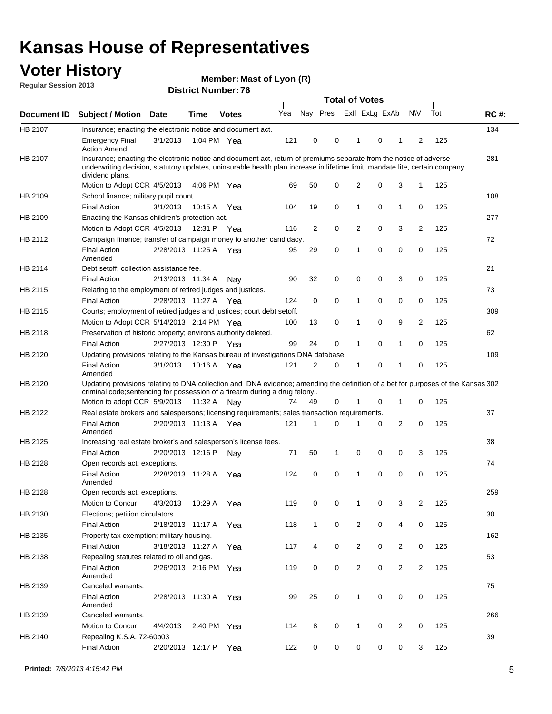### **Voter History**

**Member: Mast of Lyon (R)** 

**Regular Session 2013**

|             |                                                                                                                                                                                                                                                                      |                       |             |              |     |                | <b>Total of Votes</b> |                |             | $\overline{\phantom{0}}$ |                         |     |             |
|-------------|----------------------------------------------------------------------------------------------------------------------------------------------------------------------------------------------------------------------------------------------------------------------|-----------------------|-------------|--------------|-----|----------------|-----------------------|----------------|-------------|--------------------------|-------------------------|-----|-------------|
| Document ID | <b>Subject / Motion Date</b>                                                                                                                                                                                                                                         |                       | Time        | <b>Votes</b> | Yea | Nay Pres       |                       | Exll ExLg ExAb |             |                          | <b>NV</b>               | Tot | <b>RC#:</b> |
| HB 2107     | Insurance; enacting the electronic notice and document act.                                                                                                                                                                                                          |                       |             |              |     |                |                       |                |             |                          |                         |     | 134         |
|             | <b>Emergency Final</b><br><b>Action Amend</b>                                                                                                                                                                                                                        | 3/1/2013              |             | 1:04 PM Yea  | 121 | 0              | 0                     | 1              | 0           | 1                        | 2                       | 125 |             |
| HB 2107     | Insurance; enacting the electronic notice and document act, return of premiums separate from the notice of adverse<br>underwriting decision, statutory updates, uninsurable health plan increase in lifetime limit, mandate lite, certain company<br>dividend plans. |                       |             |              |     |                |                       |                |             |                          |                         |     | 281         |
|             | Motion to Adopt CCR 4/5/2013                                                                                                                                                                                                                                         |                       | 4:06 PM     | Yea          | 69  | 50             | 0                     | 2              | 0           | 3                        | 1                       | 125 |             |
| HB 2109     | School finance; military pupil count.                                                                                                                                                                                                                                |                       |             |              |     |                |                       |                |             |                          |                         |     | 108         |
|             | <b>Final Action</b>                                                                                                                                                                                                                                                  | 3/1/2013              | 10:15 A     | Yea          | 104 | 19             | 0                     | 1              | 0           | $\mathbf{1}$             | 0                       | 125 |             |
| HB 2109     | Enacting the Kansas children's protection act.                                                                                                                                                                                                                       |                       |             |              |     |                |                       |                |             |                          |                         |     | 277         |
|             | Motion to Adopt CCR 4/5/2013                                                                                                                                                                                                                                         |                       | 12:31 P Yea |              | 116 | $\overline{2}$ | 0                     | 2              | 0           | 3                        | $\overline{2}$          | 125 |             |
| HB 2112     | Campaign finance; transfer of campaign money to another candidacy.                                                                                                                                                                                                   |                       |             |              |     |                |                       |                |             |                          |                         |     | 72          |
|             | <b>Final Action</b><br>Amended                                                                                                                                                                                                                                       | 2/28/2013 11:25 A Yea |             |              | 95  | 29             | 0                     | 1              | 0           | 0                        | 0                       | 125 |             |
| HB 2114     | Debt setoff; collection assistance fee.                                                                                                                                                                                                                              |                       |             |              |     |                |                       |                |             |                          |                         |     | 21          |
|             | <b>Final Action</b>                                                                                                                                                                                                                                                  | 2/13/2013 11:34 A     |             | Nay          | 90  | 32             | 0                     | 0              | 0           | 3                        | 0                       | 125 |             |
| HB 2115     | Relating to the employment of retired judges and justices.                                                                                                                                                                                                           |                       |             |              |     |                |                       |                |             |                          |                         |     | 73          |
|             | <b>Final Action</b>                                                                                                                                                                                                                                                  | 2/28/2013 11:27 A     |             | Yea          | 124 | 0              | 0                     | 1              | 0           | 0                        | 0                       | 125 |             |
| HB 2115     | Courts; employment of retired judges and justices; court debt setoff.                                                                                                                                                                                                |                       |             |              |     |                |                       |                |             |                          |                         |     | 309         |
|             | Motion to Adopt CCR 5/14/2013 2:14 PM Yea                                                                                                                                                                                                                            |                       |             |              | 100 | 13             | 0                     | 1              | 0           | 9                        | 2                       | 125 |             |
| HB 2118     | Preservation of historic property; environs authority deleted.                                                                                                                                                                                                       |                       |             |              |     |                |                       |                |             |                          |                         |     | 62          |
|             | <b>Final Action</b>                                                                                                                                                                                                                                                  | 2/27/2013 12:30 P     |             | Yea          | 99  | 24             | 0                     | 1              | 0           | 1                        | 0                       | 125 |             |
| HB 2120     | Updating provisions relating to the Kansas bureau of investigations DNA database.                                                                                                                                                                                    |                       |             |              |     |                |                       |                |             |                          |                         |     | 109         |
|             | <b>Final Action</b><br>Amended                                                                                                                                                                                                                                       | 3/1/2013              | 10:16 A     | Yea          | 121 | 2              | 0                     | 1              | 0           | 1                        | 0                       | 125 |             |
| HB 2120     | Updating provisions relating to DNA collection and DNA evidence; amending the definition of a bet for purposes of the Kansas 302<br>criminal code; sentencing for possession of a firearm during a drug felony                                                       |                       |             |              |     |                |                       |                |             |                          |                         |     |             |
|             | Motion to adopt CCR 5/9/2013 11:32 A Nay                                                                                                                                                                                                                             |                       |             |              | 74  | 49             | 0                     |                | 0           | 1                        | 0                       | 125 |             |
| HB 2122     | Real estate brokers and salespersons; licensing requirements; sales transaction requirements.                                                                                                                                                                        |                       |             |              |     |                |                       |                |             |                          |                         |     | 37          |
|             | <b>Final Action</b><br>Amended                                                                                                                                                                                                                                       | 2/20/2013 11:13 A Yea |             |              | 121 | 1              | $\Omega$              |                | 0           | $\overline{2}$           | 0                       | 125 |             |
| HB 2125     | Increasing real estate broker's and salesperson's license fees.                                                                                                                                                                                                      |                       |             |              |     |                |                       |                |             |                          |                         |     | 38          |
|             | <b>Final Action</b>                                                                                                                                                                                                                                                  | 2/20/2013 12:16 P     |             | Nay          | 71  | 50             | 1                     | 0              | 0           | 0                        | 3                       | 125 |             |
| HB 2128     | Open records act; exceptions.                                                                                                                                                                                                                                        |                       |             |              |     |                |                       |                |             |                          |                         |     | 74          |
|             | <b>Final Action</b><br>Amended                                                                                                                                                                                                                                       | 2/28/2013 11:28 A     |             | Yea          | 124 | 0              | 0                     | 1              | 0           | 0                        | 0                       | 125 |             |
| HB 2128     | Open records act; exceptions.                                                                                                                                                                                                                                        |                       |             |              |     |                |                       |                |             |                          |                         |     | 259         |
|             | Motion to Concur                                                                                                                                                                                                                                                     | 4/3/2013              | 10:29 A     | Yea          | 119 | 0              | 0                     | 1              | 0           | 3                        | $\overline{\mathbf{c}}$ | 125 |             |
| HB 2130     | Elections; petition circulators.                                                                                                                                                                                                                                     |                       |             |              |     |                |                       |                |             |                          |                         |     | 30          |
|             | <b>Final Action</b>                                                                                                                                                                                                                                                  | 2/18/2013 11:17 A     |             | Yea          | 118 | $\mathbf{1}$   | 0                     | $\overline{c}$ | 0           | 4                        | 0                       | 125 |             |
| HB 2135     | Property tax exemption; military housing.                                                                                                                                                                                                                            |                       |             |              |     |                |                       |                |             |                          |                         |     | 162         |
|             | <b>Final Action</b>                                                                                                                                                                                                                                                  | 3/18/2013 11:27 A     |             | Yea          | 117 | 4              | 0                     | $\overline{2}$ | 0           | $\overline{2}$           | 0                       | 125 |             |
| HB 2138     | Repealing statutes related to oil and gas.                                                                                                                                                                                                                           |                       |             |              |     |                |                       |                |             |                          |                         |     | 53          |
|             | Final Action<br>Amended                                                                                                                                                                                                                                              | 2/26/2013 2:16 PM Yea |             |              | 119 | 0              | 0                     | $\overline{2}$ | $\mathbf 0$ | $\overline{2}$           | $\overline{2}$          | 125 |             |
| HB 2139     | Canceled warrants.                                                                                                                                                                                                                                                   |                       |             |              |     |                |                       |                |             |                          |                         |     | 75          |
|             | <b>Final Action</b><br>Amended                                                                                                                                                                                                                                       | 2/28/2013 11:30 A     |             | Yea          | 99  | 25             | 0                     | $\mathbf{1}$   | 0           | 0                        | 0                       | 125 |             |
| HB 2139     | Canceled warrants.                                                                                                                                                                                                                                                   |                       |             |              |     |                |                       |                |             |                          |                         |     | 266         |
|             | Motion to Concur                                                                                                                                                                                                                                                     | 4/4/2013              | 2:40 PM     | Yea          | 114 | 8              | 0                     | 1              | 0           | 2                        | 0                       | 125 |             |
| HB 2140     | Repealing K.S.A. 72-60b03                                                                                                                                                                                                                                            |                       |             |              |     |                |                       |                |             |                          |                         |     | 39          |
|             | <b>Final Action</b>                                                                                                                                                                                                                                                  | 2/20/2013 12:17 P     |             | Yea          | 122 | 0              | 0                     | 0              | 0           | 0                        | 3                       | 125 |             |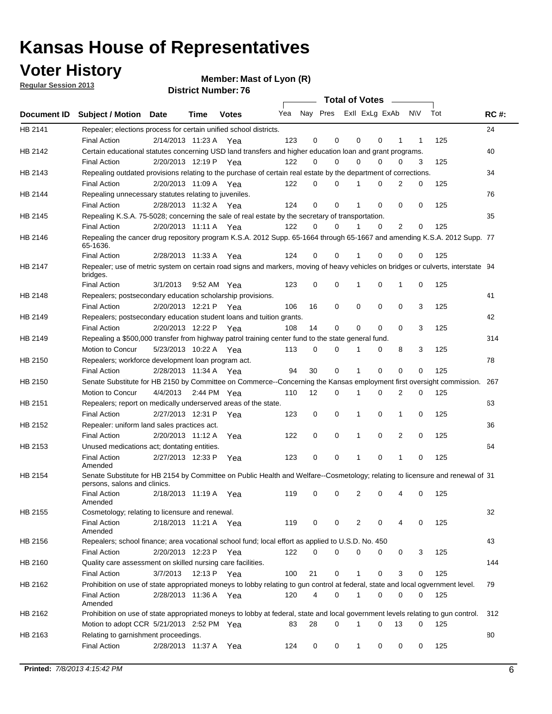**Voter History** 

**Member: Mast of Lyon (R)** 

**Regular Session 2013**

|         |                                                                                                                                              |          |                       |              |     |    | Total of Votes __       |              |             |                |          |     |             |
|---------|----------------------------------------------------------------------------------------------------------------------------------------------|----------|-----------------------|--------------|-----|----|-------------------------|--------------|-------------|----------------|----------|-----|-------------|
|         | Document ID Subject / Motion Date                                                                                                            |          | Time                  | <b>Votes</b> | Yea |    | Nay Pres ExII ExLg ExAb |              |             |                | N\V      | Tot | <b>RC#:</b> |
| HB 2141 | Repealer; elections process for certain unified school districts.                                                                            |          |                       |              |     |    |                         |              |             |                |          |     | 24          |
|         | <b>Final Action</b>                                                                                                                          |          | 2/14/2013 11:23 A Yea |              | 123 | 0  | 0                       | 0            | 0           | 1              | 1        | 125 |             |
| HB 2142 | Certain educational statutes concerning USD land transfers and higher education loan and grant programs.                                     |          |                       |              |     |    |                         |              |             |                |          |     | 40          |
|         | <b>Final Action</b>                                                                                                                          |          | 2/20/2013 12:19 P Yea |              | 122 | 0  | 0                       | 0            | 0           | 0              | 3        | 125 |             |
| HB 2143 | Repealing outdated provisions relating to the purchase of certain real estate by the department of corrections.                              |          |                       |              |     |    |                         |              |             |                |          |     | 34          |
|         | <b>Final Action</b>                                                                                                                          |          | 2/20/2013 11:09 A Yea |              | 122 | 0  | $\Omega$                | 1            | 0           | 2              | 0        | 125 |             |
| HB 2144 | Repealing unnecessary statutes relating to juveniles.                                                                                        |          |                       |              |     |    |                         |              |             |                |          |     | 76          |
|         | <b>Final Action</b>                                                                                                                          |          | 2/28/2013 11:32 A Yea |              | 124 | 0  | 0                       | 1            | 0           | 0              | 0        | 125 |             |
| HB 2145 | Repealing K.S.A. 75-5028; concerning the sale of real estate by the secretary of transportation.                                             |          |                       |              |     |    |                         |              |             |                |          |     | 35          |
|         | <b>Final Action</b>                                                                                                                          |          | 2/20/2013 11:11 A Yea |              | 122 | 0  | 0                       | 1            | 0           | 2              | 0        | 125 |             |
| HB 2146 | Repealing the cancer drug repository program K.S.A. 2012 Supp. 65-1664 through 65-1667 and amending K.S.A. 2012 Supp. 77<br>65-1636.         |          |                       |              |     |    |                         |              |             |                |          |     |             |
|         | <b>Final Action</b>                                                                                                                          |          | 2/28/2013 11:33 A     | Yea          | 124 | 0  | 0                       | 1            | 0           | 0              | 0        | 125 |             |
| HB 2147 | Repealer; use of metric system on certain road signs and markers, moving of heavy vehicles on bridges or culverts, interstate 94<br>bridges. |          |                       |              |     |    |                         |              |             |                |          |     |             |
|         | <b>Final Action</b>                                                                                                                          | 3/1/2013 |                       | 9:52 AM Yea  | 123 | 0  | 0                       | 1            | 0           | 1              | 0        | 125 |             |
| HB 2148 | Repealers; postsecondary education scholarship provisions.                                                                                   |          |                       |              |     |    |                         |              |             |                |          |     | 41          |
|         | <b>Final Action</b>                                                                                                                          |          | 2/20/2013 12:21 P Yea |              | 106 | 16 | $\mathbf 0$             | 0            | 0           | 0              | 3        | 125 |             |
| HB 2149 | Repealers; postsecondary education student loans and tuition grants.                                                                         |          |                       |              |     |    |                         |              |             |                |          |     | 42          |
|         | <b>Final Action</b>                                                                                                                          |          | 2/20/2013 12:22 P     | Yea          | 108 | 14 | 0                       | 0            | $\mathbf 0$ | 0              | 3        | 125 |             |
| HB 2149 | Repealing a \$500,000 transfer from highway patrol training center fund to the state general fund.                                           |          |                       |              |     |    |                         |              |             |                |          |     | 314         |
|         | Motion to Concur                                                                                                                             |          | 5/23/2013 10:22 A Yea |              | 113 | 0  | 0                       | 1            | 0           | 8              | 3        | 125 |             |
| HB 2150 | Repealers; workforce development loan program act.                                                                                           |          |                       |              |     |    |                         |              |             |                |          |     | 78          |
|         | <b>Final Action</b>                                                                                                                          |          | 2/28/2013 11:34 A Yea |              | 94  | 30 | $\mathbf 0$             | $\mathbf{1}$ | 0           | 0              | 0        | 125 |             |
| HB 2150 | Senate Substitute for HB 2150 by Committee on Commerce--Concerning the Kansas employment first oversight commission.                         |          |                       |              |     |    |                         |              |             |                |          |     | 267         |
|         | Motion to Concur                                                                                                                             |          | 4/4/2013 2:44 PM Yea  |              | 110 | 12 | 0                       | 1            | 0           | 2              | 0        | 125 |             |
| HB 2151 | Repealers; report on medically underserved areas of the state.                                                                               |          |                       |              |     |    |                         |              |             |                |          |     | 63          |
|         | <b>Final Action</b>                                                                                                                          |          | 2/27/2013 12:31 P     | Yea          | 123 | 0  | 0                       | 1            | 0           | 1              | 0        | 125 |             |
| HB 2152 | Repealer: uniform land sales practices act.                                                                                                  |          |                       |              |     |    |                         |              |             |                |          |     | 36          |
|         | <b>Final Action</b>                                                                                                                          |          | 2/20/2013 11:12 A     | Yea          | 122 | 0  | $\mathbf 0$             | 1            | $\mathbf 0$ | $\overline{2}$ | 0        | 125 |             |
| HB 2153 | Unused medications act; dontating entities.                                                                                                  |          |                       |              |     |    |                         |              |             |                |          |     | 64          |
|         | <b>Final Action</b><br>Amended                                                                                                               |          | 2/27/2013 12:33 P     | Yea          | 123 | 0  | 0                       | 1            | 0           | 1              | 0        | 125 |             |
| HB 2154 | Senate Substitute for HB 2154 by Committee on Public Health and Welfare--Cosmetology; relating to licensure and renewal of 31                |          |                       |              |     |    |                         |              |             |                |          |     |             |
|         | persons, salons and clinics.                                                                                                                 |          |                       |              |     |    |                         |              |             |                |          |     |             |
|         | <b>Final Action</b><br>Amended                                                                                                               |          | 2/18/2013 11:19 A     | Yea          | 119 | 0  | 0                       | 2            | 0           | 4              | 0        | 125 |             |
| HB 2155 | Cosmetology; relating to licensure and renewal.                                                                                              |          |                       |              |     |    |                         |              |             |                |          |     | 32          |
|         | <b>Final Action</b>                                                                                                                          |          | 2/18/2013 11:21 A Yea |              | 119 | 0  | 0                       | 2            | 0           |                | 0        | 125 |             |
|         | Amended                                                                                                                                      |          |                       |              |     |    |                         |              |             |                |          |     |             |
| HB 2156 | Repealers; school finance; area vocational school fund; local effort as applied to U.S.D. No. 450                                            |          |                       |              |     |    |                         |              |             |                |          |     | 43          |
|         | <b>Final Action</b>                                                                                                                          |          | 2/20/2013 12:23 P Yea |              | 122 | 0  | 0                       | 0            | 0           | 0              | 3        | 125 |             |
| HB 2160 | Quality care assessment on skilled nursing care facilities.                                                                                  |          |                       |              |     |    |                         |              |             |                |          |     | 144         |
|         | <b>Final Action</b>                                                                                                                          | 3/7/2013 |                       | 12:13 P Yea  | 100 | 21 | 0                       | 1            | 0           | 3              | 0        | 125 |             |
| HB 2162 | Prohibition on use of state appropriated moneys to lobby relating to gun control at federal, state and local ogvernment level.               |          |                       |              |     |    |                         |              |             |                |          |     | 79          |
|         | <b>Final Action</b><br>Amended                                                                                                               |          | 2/28/2013 11:36 A Yea |              | 120 | 4  | 0                       | $\mathbf{1}$ | 0           | 0              | 0        | 125 |             |
| HB 2162 | Prohibition on use of state appropriated moneys to lobby at federal, state and local government levels relating to gun control.              |          |                       |              |     |    |                         |              |             |                |          |     | 312         |
|         | Motion to adopt CCR 5/21/2013 2:52 PM Yea                                                                                                    |          |                       |              | 83  | 28 | $\Omega$                | 1            | 0           | 13             | $\Omega$ | 125 |             |
| HB 2163 | Relating to garnishment proceedings.                                                                                                         |          |                       |              |     |    |                         |              |             |                |          |     | 80          |
|         | <b>Final Action</b>                                                                                                                          |          | 2/28/2013 11:37 A Yea |              | 124 | 0  | 0                       | $\mathbf 1$  | 0           | 0              | 0        | 125 |             |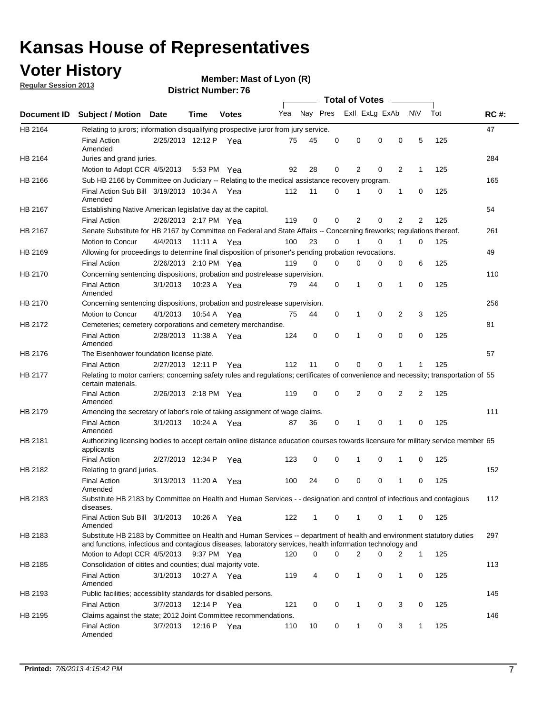### **Voter History**

**Member: Mast of Lyon (R)** 

**Regular Session 2013**

|             |                                                                                                                                                                                                                                    |                       | PIJU IVI INUI IIVU I <i>I</i> |              |     |          |          | <b>Total of Votes</b> |          | $\sim$         |                |     |             |
|-------------|------------------------------------------------------------------------------------------------------------------------------------------------------------------------------------------------------------------------------------|-----------------------|-------------------------------|--------------|-----|----------|----------|-----------------------|----------|----------------|----------------|-----|-------------|
| Document ID | <b>Subject / Motion Date</b>                                                                                                                                                                                                       |                       | Time                          | <b>Votes</b> | Yea | Nay Pres |          | Exll ExLg ExAb        |          |                | N\V            | Tot | <b>RC#:</b> |
| HB 2164     | Relating to jurors; information disqualifying prospective juror from jury service.                                                                                                                                                 |                       |                               |              |     |          |          |                       |          |                |                |     | 47          |
|             | <b>Final Action</b><br>Amended                                                                                                                                                                                                     | 2/25/2013 12:12 P Yea |                               |              | 75  | 45       | 0        | 0                     | 0        | 0              | 5              | 125 |             |
| HB 2164     | Juries and grand juries.                                                                                                                                                                                                           |                       |                               |              |     |          |          |                       |          |                |                |     | 284         |
|             | Motion to Adopt CCR 4/5/2013                                                                                                                                                                                                       |                       | 5:53 PM Yea                   |              | 92  | 28       | 0        | 2                     | 0        | $\overline{2}$ | 1              | 125 |             |
| HB 2166     | Sub HB 2166 by Committee on Judiciary -- Relating to the medical assistance recovery program.                                                                                                                                      |                       |                               |              |     |          |          |                       |          |                |                |     | 165         |
|             | Final Action Sub Bill 3/19/2013 10:34 A Yea<br>Amended                                                                                                                                                                             |                       |                               |              | 112 | 11       | $\Omega$ |                       | 0        | 1              | 0              | 125 |             |
| HB 2167     | Establishing Native American legislative day at the capitol.                                                                                                                                                                       |                       |                               |              |     |          |          |                       |          |                |                |     | 54          |
|             | <b>Final Action</b>                                                                                                                                                                                                                | 2/26/2013 2:17 PM Yea |                               |              | 119 | 0        | $\Omega$ | 2                     | 0        | $\overline{2}$ | 2              | 125 |             |
| HB 2167     | Senate Substitute for HB 2167 by Committee on Federal and State Affairs -- Concerning fireworks; regulations thereof.                                                                                                              |                       |                               |              |     |          |          |                       |          |                |                |     | 261         |
|             | Motion to Concur                                                                                                                                                                                                                   | 4/4/2013              | 11:11 A Yea                   |              | 100 | 23       | 0        | 1                     | 0        | 1              | 0              | 125 |             |
| HB 2169     | Allowing for proceedings to determine final disposition of prisoner's pending probation revocations.                                                                                                                               |                       |                               |              |     |          |          |                       |          |                |                |     | 49          |
|             | <b>Final Action</b>                                                                                                                                                                                                                | 2/26/2013 2:10 PM Yea |                               |              | 119 | 0        | 0        | 0                     | 0        | 0              | 6              | 125 |             |
| HB 2170     | Concerning sentencing dispositions, probation and postrelease supervision.                                                                                                                                                         |                       |                               |              |     |          |          |                       |          |                |                |     | 110         |
|             | <b>Final Action</b><br>Amended                                                                                                                                                                                                     | 3/1/2013              | 10:23 A Yea                   |              | 79  | 44       | 0        | 1                     | 0        | 1              | 0              | 125 |             |
| HB 2170     | Concerning sentencing dispositions, probation and postrelease supervision.                                                                                                                                                         |                       |                               |              |     |          |          |                       |          |                |                |     | 256         |
|             | Motion to Concur                                                                                                                                                                                                                   | 4/1/2013              | 10:54 A Yea                   |              | 75  | 44       | 0        | 1                     | 0        | $\overline{2}$ | 3              | 125 |             |
| HB 2172     | Cemeteries; cemetery corporations and cemetery merchandise.                                                                                                                                                                        |                       |                               |              |     |          |          |                       |          |                |                |     | 81          |
|             | <b>Final Action</b><br>Amended                                                                                                                                                                                                     | 2/28/2013 11:38 A Yea |                               |              | 124 | 0        | 0        | 1                     | 0        | $\Omega$       | 0              | 125 |             |
| HB 2176     | The Eisenhower foundation license plate.                                                                                                                                                                                           |                       |                               |              |     |          |          |                       |          |                |                |     | 57          |
|             | <b>Final Action</b>                                                                                                                                                                                                                | 2/27/2013 12:11 P     |                               | Yea          | 112 | 11       | $\Omega$ | 0                     | 0        | 1              | 1              | 125 |             |
| HB 2177     | Relating to motor carriers; concerning safety rules and regulations; certificates of convenience and necessity; transportation of 55<br>certain materials.                                                                         |                       |                               |              |     |          |          |                       |          |                |                |     |             |
|             | <b>Final Action</b><br>Amended                                                                                                                                                                                                     | 2/26/2013 2:18 PM Yea |                               |              | 119 | 0        | $\Omega$ | 2                     | 0        | $\overline{2}$ | $\overline{2}$ | 125 |             |
| HB 2179     | Amending the secretary of labor's role of taking assignment of wage claims.                                                                                                                                                        |                       |                               |              |     |          |          |                       |          |                |                |     | 111         |
|             | <b>Final Action</b><br>Amended                                                                                                                                                                                                     | 3/1/2013              | 10:24 A Yea                   |              | 87  | 36       | 0        | 1                     | $\Omega$ | 1              | 0              | 125 |             |
| HB 2181     | Authorizing licensing bodies to accept certain online distance education courses towards licensure for military service member 55<br>applicants                                                                                    |                       |                               |              |     |          |          |                       |          |                |                |     |             |
|             | <b>Final Action</b>                                                                                                                                                                                                                | 2/27/2013 12:34 P     |                               | Yea          | 123 | 0        | 0        |                       | 0        | 1              | 0              | 125 |             |
| HB 2182     | Relating to grand juries.                                                                                                                                                                                                          |                       |                               |              |     |          |          |                       |          |                |                |     | 152         |
|             | <b>Final Action</b><br>Amended                                                                                                                                                                                                     | 3/13/2013 11:20 A     |                               | Yea          | 100 | 24       | 0        | 0                     | 0        | 1              | 0              | 125 |             |
| HB 2183     | Substitute HB 2183 by Committee on Health and Human Services - - designation and control of infectious and contagious<br>diseases.                                                                                                 |                       |                               |              |     |          |          |                       |          |                |                |     | 112         |
|             | Final Action Sub Bill 3/1/2013<br>Amended                                                                                                                                                                                          |                       | 10:26 A Yea                   |              | 122 | 1        | 0        | 1                     | 0        | 1              | 0              | 125 |             |
| HB 2183     | Substitute HB 2183 by Committee on Health and Human Services -- department of health and environment statutory duties<br>and functions, infectious and contagious diseases, laboratory services, health information technology and |                       |                               |              |     |          |          |                       |          |                |                |     | 297         |
|             | Motion to Adopt CCR 4/5/2013                                                                                                                                                                                                       |                       | 9:37 PM Yea                   |              | 120 | 0        | 0        | 2                     | 0        | 2              | 1              | 125 |             |
| HB 2185     | Consolidation of citites and counties; dual majority vote.                                                                                                                                                                         |                       |                               |              |     |          |          |                       |          |                |                |     | 113         |
|             | <b>Final Action</b><br>Amended                                                                                                                                                                                                     | 3/1/2013              | 10:27 A Yea                   |              | 119 | 4        | 0        | 1                     | 0        | $\mathbf{1}$   | 0              | 125 |             |
| HB 2193     | Public facilities; accessiblity standards for disabled persons.                                                                                                                                                                    |                       |                               |              |     |          |          |                       |          |                |                |     | 145         |
|             | <b>Final Action</b>                                                                                                                                                                                                                | 3/7/2013              | 12:14 P                       | Yea          | 121 | 0        | 0        | 1                     | 0        | 3              | 0              | 125 |             |
| HB 2195     | Claims against the state; 2012 Joint Committee recommendations.                                                                                                                                                                    |                       |                               |              |     |          |          |                       |          |                |                |     | 146         |
|             | <b>Final Action</b><br>Amended                                                                                                                                                                                                     | 3/7/2013              | 12:16 P Yea                   |              | 110 | 10       | 0        | 1                     | 0        | 3              | 1              | 125 |             |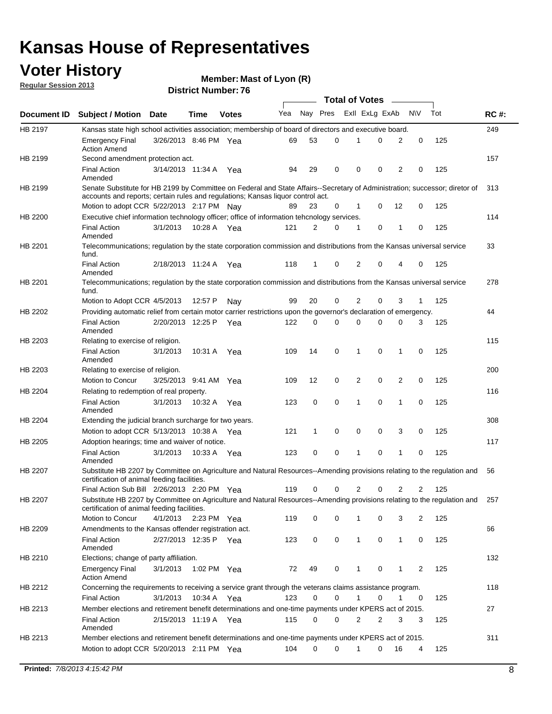### **Voter History**

**Member: Mast of Lyon (R)** 

**Regular Session 2013**

|             |                                                                                                                                                                                                                |                       |             |              |     |              |          | <b>Total of Votes</b> |   | $\sim$         |                |     |             |
|-------------|----------------------------------------------------------------------------------------------------------------------------------------------------------------------------------------------------------------|-----------------------|-------------|--------------|-----|--------------|----------|-----------------------|---|----------------|----------------|-----|-------------|
| Document ID | <b>Subject / Motion Date</b>                                                                                                                                                                                   |                       | Time        | <b>Votes</b> | Yea | Nay Pres     |          | Exll ExLg ExAb        |   |                | <b>NV</b>      | Tot | <b>RC#:</b> |
| HB 2197     | Kansas state high school activities association; membership of board of directors and executive board.                                                                                                         |                       |             |              |     |              |          |                       |   |                |                |     | 249         |
|             | <b>Emergency Final</b><br><b>Action Amend</b>                                                                                                                                                                  | 3/26/2013 8:46 PM Yea |             |              | 69  | 53           | 0        | 1                     | 0 | 2              | 0              | 125 |             |
| HB 2199     | Second amendment protection act.                                                                                                                                                                               |                       |             |              |     |              |          |                       |   |                |                |     | 157         |
|             | <b>Final Action</b><br>Amended                                                                                                                                                                                 | 3/14/2013 11:34 A     |             | Yea          | 94  | 29           | 0        | 0                     | 0 | 2              | 0              | 125 |             |
| HB 2199     | Senate Substitute for HB 2199 by Committee on Federal and State Affairs--Secretary of Administration; successor; diretor of<br>accounts and reports; certain rules and regulations; Kansas liquor control act. |                       |             |              |     |              |          |                       |   |                |                |     | 313         |
|             | Motion to adopt CCR 5/22/2013 2:17 PM Nay                                                                                                                                                                      |                       |             |              | 89  | 23           | 0        | 1                     | 0 | 12             | 0              | 125 |             |
| HB 2200     | Executive chief information technology officer; office of information tehcnology services.                                                                                                                     |                       |             |              |     |              |          |                       |   |                |                |     | 114         |
|             | <b>Final Action</b><br>Amended                                                                                                                                                                                 | 3/1/2013              | 10:28 A Yea |              | 121 | 2            | $\Omega$ | 1                     | 0 | 1              | 0              | 125 |             |
| HB 2201     | Telecommunications; regulation by the state corporation commission and distributions from the Kansas universal service<br>fund.                                                                                |                       |             |              |     |              |          |                       |   |                |                |     | 33          |
|             | <b>Final Action</b><br>Amended                                                                                                                                                                                 | 2/18/2013 11:24 A     |             | Yea          | 118 | 1            | 0        | 2                     | 0 | 4              | 0              | 125 |             |
| HB 2201     | Telecommunications; regulation by the state corporation commission and distributions from the Kansas universal service<br>fund.                                                                                |                       |             |              |     |              |          |                       |   |                |                |     | 278         |
|             | Motion to Adopt CCR 4/5/2013                                                                                                                                                                                   |                       | 12:57 P     | Nay          | 99  | 20           | 0        | 2                     | 0 | 3              | 1              | 125 |             |
| HB 2202     | Providing automatic relief from certain motor carrier restrictions upon the governor's declaration of emergency.                                                                                               |                       |             |              |     |              |          |                       |   |                |                |     | 44          |
|             | <b>Final Action</b><br>Amended                                                                                                                                                                                 | 2/20/2013 12:25 P     |             | Yea          | 122 | 0            | 0        | 0                     | 0 | 0              | 3              | 125 |             |
| HB 2203     | Relating to exercise of religion.                                                                                                                                                                              |                       |             |              |     |              |          |                       |   |                |                |     | 115         |
|             | <b>Final Action</b><br>Amended                                                                                                                                                                                 | 3/1/2013              | 10:31 A     | Yea          | 109 | 14           | 0        | 1                     | 0 | 1              | 0              | 125 |             |
| HB 2203     | Relating to exercise of religion.                                                                                                                                                                              |                       |             |              |     |              |          |                       |   |                |                |     | 200         |
|             | Motion to Concur                                                                                                                                                                                               | 3/25/2013 9:41 AM     |             | Yea          | 109 | 12           | 0        | 2                     | 0 | $\overline{2}$ | 0              | 125 |             |
| HB 2204     | Relating to redemption of real property.                                                                                                                                                                       |                       |             |              |     |              |          |                       |   |                |                |     | 116         |
|             | <b>Final Action</b><br>Amended                                                                                                                                                                                 | 3/1/2013              | 10:32 A Yea |              | 123 | 0            | 0        | 1                     | 0 | $\mathbf{1}$   | 0              | 125 |             |
| HB 2204     | Extending the judicial branch surcharge for two years.                                                                                                                                                         |                       |             |              |     |              |          |                       |   |                |                |     | 308         |
|             | Motion to adopt CCR 5/13/2013 10:38 A                                                                                                                                                                          |                       |             | Yea          | 121 | $\mathbf{1}$ | 0        | 0                     | 0 | 3              | 0              | 125 |             |
| HB 2205     | Adoption hearings; time and waiver of notice.                                                                                                                                                                  |                       |             |              |     |              |          |                       |   |                |                |     | 117         |
|             | <b>Final Action</b><br>Amended                                                                                                                                                                                 | 3/1/2013              | 10:33 A     | Yea          | 123 | 0            | 0        | 1                     | 0 | 1              | 0              | 125 |             |
| HB 2207     | Substitute HB 2207 by Committee on Agriculture and Natural Resources--Amending provisions relating to the regulation and<br>certification of animal feeding facilities.                                        |                       |             |              |     |              |          |                       |   |                |                |     | 56          |
|             | Final Action Sub Bill 2/26/2013 2:20 PM Yea                                                                                                                                                                    |                       |             |              | 119 | 0            | 0        | 2                     | 0 | $\overline{2}$ | $\overline{2}$ | 125 |             |
| HB 2207     | Substitute HB 2207 by Committee on Agriculture and Natural Resources--Amending provisions relating to the regulation and<br>certification of animal feeding facilities.                                        |                       |             |              |     |              |          |                       |   |                |                |     | 257         |
|             | Motion to Concur                                                                                                                                                                                               | 4/1/2013              | 2:23 PM Yea |              | 119 | 0            | 0        |                       | 0 | 3              | 2              | 125 |             |
| HB 2209     | Amendments to the Kansas offender registration act.                                                                                                                                                            |                       |             |              |     |              |          |                       |   |                |                |     | 66          |
|             | <b>Final Action</b><br>Amended                                                                                                                                                                                 | 2/27/2013 12:35 P Yea |             |              | 123 | 0            | 0        | 1                     | 0 | 1              | 0              | 125 |             |
| HB 2210     | Elections; change of party affiliation.                                                                                                                                                                        |                       |             |              |     |              |          |                       |   |                |                |     | 132         |
|             | Emergency Final<br><b>Action Amend</b>                                                                                                                                                                         | 3/1/2013              | 1:02 PM Yea |              | 72  | 49           | 0        | 1                     | 0 | 1              | $\overline{2}$ | 125 |             |
| HB 2212     | Concerning the requirements to receiving a service grant through the veterans claims assistance program.<br><b>Final Action</b>                                                                                | 3/1/2013              | 10:34 A     | Yea          | 123 | 0            | 0        | 1                     | 0 | 1              | 0              | 125 | 118         |
| HB 2213     | Member elections and retirement benefit determinations and one-time payments under KPERS act of 2015.                                                                                                          |                       |             |              |     |              |          |                       |   |                |                |     | 27          |
|             | <b>Final Action</b><br>Amended                                                                                                                                                                                 | 2/15/2013 11:19 A Yea |             |              | 115 | 0            | 0        | 2                     | 2 | 3              | 3              | 125 |             |
| HB 2213     | Member elections and retirement benefit determinations and one-time payments under KPERS act of 2015.                                                                                                          |                       |             |              |     |              |          |                       |   |                |                |     | 311         |
|             | Motion to adopt CCR 5/20/2013 2:11 PM Yea                                                                                                                                                                      |                       |             |              | 104 | 0            | 0        | $\mathbf{1}$          | 0 | 16             | 4              | 125 |             |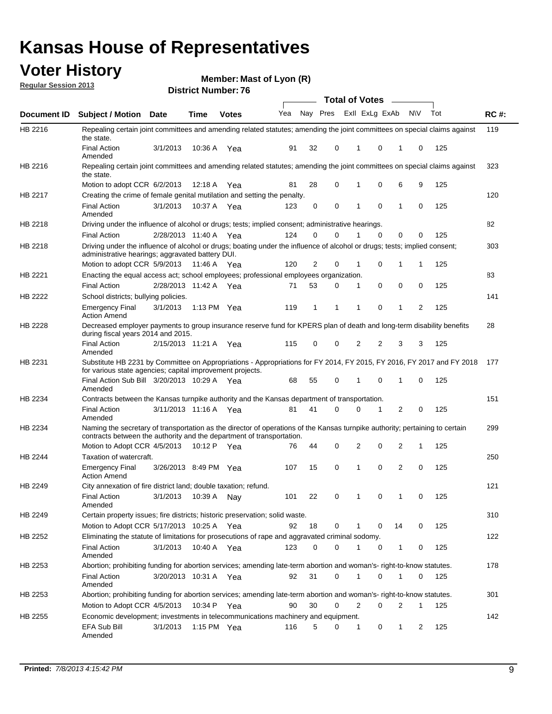### **Voter History**

**Member: Mast of Lyon (R)** 

**Regular Session 2013**

|             |                                                                                                                                                                                                       |                         |               |              |     |          |          | <b>Total of Votes</b> |          | $\frac{1}{1-\frac{1}{2}}\left( \frac{1}{\sqrt{2}}\right) ^{2}+\frac{1}{2}\left( \frac{1}{2}\right) ^{2}+\frac{1}{2}\left( \frac{1}{2}\right) ^{2}+\frac{1}{2}\left( \frac{1}{2}\right) ^{2}+\frac{1}{2}\left( \frac{1}{2}\right) ^{2}+\frac{1}{2}\left( \frac{1}{2}\right) ^{2}+\frac{1}{2}\left( \frac{1}{2}\right) ^{2}+\frac{1}{2}\left( \frac{1}{2}\right) ^{2}+\frac{1}{2}\left( \frac{1}{2}\right) ^{2}+\frac{1}{2}\left( \frac$ |           |     |             |
|-------------|-------------------------------------------------------------------------------------------------------------------------------------------------------------------------------------------------------|-------------------------|---------------|--------------|-----|----------|----------|-----------------------|----------|----------------------------------------------------------------------------------------------------------------------------------------------------------------------------------------------------------------------------------------------------------------------------------------------------------------------------------------------------------------------------------------------------------------------------------------|-----------|-----|-------------|
| Document ID | Subject / Motion Date                                                                                                                                                                                 |                         | <b>Time</b>   | <b>Votes</b> | Yea | Nay Pres |          | Exll ExLg ExAb        |          |                                                                                                                                                                                                                                                                                                                                                                                                                                        | <b>NV</b> | Tot | <b>RC#:</b> |
| HB 2216     | Repealing certain joint committees and amending related statutes; amending the joint committees on special claims against<br>the state.                                                               |                         |               |              |     |          |          |                       |          |                                                                                                                                                                                                                                                                                                                                                                                                                                        |           |     | 119         |
|             | <b>Final Action</b><br>Amended                                                                                                                                                                        | 3/1/2013                | 10:36 A       | Yea          | 91  | 32       | 0        | 1                     | 0        | 1                                                                                                                                                                                                                                                                                                                                                                                                                                      | 0         | 125 |             |
| HB 2216     | Repealing certain joint committees and amending related statutes; amending the joint committees on special claims against<br>the state.                                                               |                         |               |              |     |          |          |                       |          |                                                                                                                                                                                                                                                                                                                                                                                                                                        |           |     | 323         |
|             | Motion to adopt CCR 6/2/2013                                                                                                                                                                          |                         | 12:18 A       | Yea          | 81  | 28       | 0        | 1                     | 0        | 6                                                                                                                                                                                                                                                                                                                                                                                                                                      | 9         | 125 |             |
| HB 2217     | Creating the crime of female genital mutilation and setting the penalty.                                                                                                                              |                         |               |              |     |          |          |                       |          |                                                                                                                                                                                                                                                                                                                                                                                                                                        |           |     | 120         |
|             | <b>Final Action</b><br>Amended                                                                                                                                                                        | 3/1/2013                | 10:37 A Yea   |              | 123 | 0        | 0        | 1                     | 0        | 1                                                                                                                                                                                                                                                                                                                                                                                                                                      | 0         | 125 |             |
| HB 2218     | Driving under the influence of alcohol or drugs; tests; implied consent; administrative hearings.                                                                                                     |                         |               |              |     |          |          |                       |          |                                                                                                                                                                                                                                                                                                                                                                                                                                        |           |     | 82          |
|             | <b>Final Action</b>                                                                                                                                                                                   | 2/28/2013 11:40 A Yea   |               |              | 124 | 0        | $\Omega$ |                       | $\Omega$ | 0                                                                                                                                                                                                                                                                                                                                                                                                                                      | 0         | 125 |             |
| HB 2218     | Driving under the influence of alcohol or drugs; boating under the influence of alcohol or drugs; tests; implied consent;<br>administrative hearings; aggravated battery DUI.                         |                         |               |              |     |          |          |                       | 0        |                                                                                                                                                                                                                                                                                                                                                                                                                                        |           |     | 303         |
|             | Motion to adopt CCR 5/9/2013                                                                                                                                                                          |                         | 11:46 A Yea   |              | 120 | 2        | 0        | 1                     |          | 1                                                                                                                                                                                                                                                                                                                                                                                                                                      | 1         | 125 |             |
| HB 2221     | Enacting the equal access act; school employees; professional employees organization.                                                                                                                 |                         |               |              |     |          |          |                       |          |                                                                                                                                                                                                                                                                                                                                                                                                                                        |           |     | 83          |
|             | <b>Final Action</b>                                                                                                                                                                                   | 2/28/2013 11:42 A Yea   |               |              | 71  | 53       | 0        | 1                     | 0        | 0                                                                                                                                                                                                                                                                                                                                                                                                                                      | 0         | 125 |             |
| HB 2222     | School districts; bullying policies.<br>Emergency Final<br><b>Action Amend</b>                                                                                                                        | 3/1/2013                | 1:13 PM $Yea$ |              | 119 | 1        | 1        | 1                     | 0        | 1                                                                                                                                                                                                                                                                                                                                                                                                                                      | 2         | 125 | 141         |
| HB 2228     | Decreased employer payments to group insurance reserve fund for KPERS plan of death and long-term disability benefits<br>during fiscal years 2014 and 2015.                                           |                         |               |              |     |          |          |                       |          |                                                                                                                                                                                                                                                                                                                                                                                                                                        |           |     | 28          |
|             | <b>Final Action</b><br>Amended                                                                                                                                                                        | 2/15/2013 11:21 A Yea   |               |              | 115 | 0        | 0        | 2                     | 2        | 3                                                                                                                                                                                                                                                                                                                                                                                                                                      | 3         | 125 |             |
| HB 2231     | Substitute HB 2231 by Committee on Appropriations - Appropriations for FY 2014, FY 2015, FY 2016, FY 2017 and FY 2018 177<br>for various state agencies; capital improvement projects.                |                         |               |              |     |          |          |                       |          |                                                                                                                                                                                                                                                                                                                                                                                                                                        |           |     |             |
|             | Final Action Sub Bill 3/20/2013 10:29 A Yea<br>Amended                                                                                                                                                |                         |               |              | 68  | 55       | 0        | 1                     | 0        | 1                                                                                                                                                                                                                                                                                                                                                                                                                                      | 0         | 125 |             |
| HB 2234     | Contracts between the Kansas turnpike authority and the Kansas department of transportation.                                                                                                          |                         |               |              |     |          |          |                       |          |                                                                                                                                                                                                                                                                                                                                                                                                                                        |           |     | 151         |
|             | <b>Final Action</b><br>Amended                                                                                                                                                                        | 3/11/2013 11:16 A       |               | Yea          | 81  | 41       | 0        | 0                     | 1        | 2                                                                                                                                                                                                                                                                                                                                                                                                                                      | 0         | 125 |             |
| HB 2234     | Naming the secretary of transportation as the director of operations of the Kansas turnpike authority; pertaining to certain<br>contracts between the authority and the department of transportation. |                         |               |              |     |          |          |                       |          |                                                                                                                                                                                                                                                                                                                                                                                                                                        |           |     | 299         |
|             | Motion to Adopt CCR 4/5/2013                                                                                                                                                                          |                         | 10:12 P Yea   |              | 76  | 44       | 0        | 2                     | 0        | 2                                                                                                                                                                                                                                                                                                                                                                                                                                      | 1         | 125 |             |
| HB 2244     | Taxation of watercraft.<br><b>Emergency Final</b>                                                                                                                                                     | 3/26/2013 8:49 PM Yea   |               |              | 107 | 15       | 0        | 1                     | 0        | 2                                                                                                                                                                                                                                                                                                                                                                                                                                      | 0         | 125 | 250         |
|             | <b>Action Amend</b>                                                                                                                                                                                   |                         |               |              |     |          |          |                       |          |                                                                                                                                                                                                                                                                                                                                                                                                                                        |           |     |             |
| HB 2249     | City annexation of fire district land; double taxation; refund.<br>Final Action<br>Amended                                                                                                            | 3/1/2013  10:39 A   Nay |               |              | 101 | 22       | 0        | $\mathbf{1}$          | $\Omega$ | $\mathbf{1}$                                                                                                                                                                                                                                                                                                                                                                                                                           | $\Omega$  | 125 | 121         |
| HB 2249     | Certain property issues; fire districts; historic preservation; solid waste.                                                                                                                          |                         |               |              |     |          |          |                       |          |                                                                                                                                                                                                                                                                                                                                                                                                                                        |           |     | 310         |
|             | Motion to Adopt CCR 5/17/2013 10:25 A Yea                                                                                                                                                             |                         |               |              | 92  | 18       | 0        |                       | 0        | 14                                                                                                                                                                                                                                                                                                                                                                                                                                     | 0         | 125 |             |
| HB 2252     | Eliminating the statute of limitations for prosecutions of rape and aggravated criminal sodomy.                                                                                                       |                         |               |              |     |          |          |                       |          |                                                                                                                                                                                                                                                                                                                                                                                                                                        |           |     | 122         |
|             | <b>Final Action</b><br>Amended                                                                                                                                                                        | 3/1/2013                | 10:40 A Yea   |              | 123 | 0        | 0        |                       | 0        | 1                                                                                                                                                                                                                                                                                                                                                                                                                                      | 0         | 125 |             |
| HB 2253     | Abortion; prohibiting funding for abortion services; amending late-term abortion and woman's- right-to-know statutes.                                                                                 |                         |               |              |     |          |          |                       |          |                                                                                                                                                                                                                                                                                                                                                                                                                                        |           |     | 178         |
|             | <b>Final Action</b><br>Amended                                                                                                                                                                        | 3/20/2013 10:31 A Yea   |               |              | 92  | 31       | 0        | 1                     | 0        | 1                                                                                                                                                                                                                                                                                                                                                                                                                                      | 0         | 125 |             |
| HB 2253     | Abortion; prohibiting funding for abortion services; amending late-term abortion and woman's- right-to-know statutes.                                                                                 |                         |               |              |     |          |          |                       |          |                                                                                                                                                                                                                                                                                                                                                                                                                                        |           |     | 301         |
|             | Motion to Adopt CCR 4/5/2013                                                                                                                                                                          |                         | 10:34 P Yea   |              | 90  | 30       | 0        | 2                     | 0        | 2                                                                                                                                                                                                                                                                                                                                                                                                                                      | 1         | 125 |             |
| HB 2255     | Economic development; investments in telecommunications machinery and equipment.                                                                                                                      |                         |               |              |     |          |          |                       |          |                                                                                                                                                                                                                                                                                                                                                                                                                                        |           |     | 142         |
|             | EFA Sub Bill<br>Amended                                                                                                                                                                               | 3/1/2013                |               | 1:15 PM Yea  | 116 | 5        | 0        | $\mathbf{1}$          | 0        | 1                                                                                                                                                                                                                                                                                                                                                                                                                                      | 2         | 125 |             |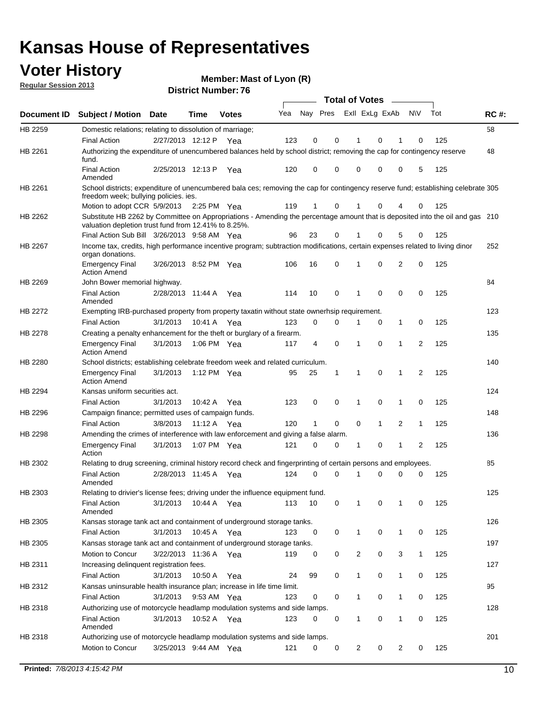### **Voter History**

**Member: Mast of Lyon (R)** 

**Regular Session 2013**

|                    |                                                                                                                                                                                       |                       |             | ט ז הסעוווטנו ועוווסו |     |          |             | <b>Total of Votes</b> |              | $\sim$       |                |     |             |
|--------------------|---------------------------------------------------------------------------------------------------------------------------------------------------------------------------------------|-----------------------|-------------|-----------------------|-----|----------|-------------|-----------------------|--------------|--------------|----------------|-----|-------------|
| <b>Document ID</b> | <b>Subject / Motion Date</b>                                                                                                                                                          |                       | <b>Time</b> | <b>Votes</b>          | Yea | Nay Pres |             | Exll ExLg ExAb        |              |              | <b>NV</b>      | Tot | <b>RC#:</b> |
| HB 2259            | Domestic relations; relating to dissolution of marriage;                                                                                                                              |                       |             |                       |     |          |             |                       |              |              |                |     | 58          |
|                    | <b>Final Action</b>                                                                                                                                                                   | 2/27/2013 12:12 P     |             | Yea                   | 123 | 0        | 0           | 1                     | 0            | 1            | 0              | 125 |             |
| HB 2261            | Authorizing the expenditure of unencumbered balances held by school district; removing the cap for contingency reserve<br>fund.                                                       |                       |             |                       |     |          |             |                       |              |              |                |     | 48          |
|                    | <b>Final Action</b><br>Amended                                                                                                                                                        | 2/25/2013 12:13 P     |             | Yea                   | 120 | 0        | 0           | 0                     | 0            | 0            | 5              | 125 |             |
| HB 2261            | School districts; expenditure of unencumbered bala ces; removing the cap for contingency reserve fund; establishing celebrate 305<br>freedom week; bullying policies. ies.            |                       |             |                       |     |          |             |                       |              |              |                |     |             |
|                    | Motion to adopt CCR 5/9/2013 2:25 PM Yea                                                                                                                                              |                       |             |                       | 119 | 1        | 0           | 1                     | 0            | 4            | 0              | 125 |             |
| HB 2262            | Substitute HB 2262 by Committee on Appropriations - Amending the percentage amount that is deposited into the oil and gas 210<br>valuation depletion trust fund from 12.41% to 8.25%. |                       |             |                       |     |          |             |                       |              |              |                |     |             |
|                    | Final Action Sub Bill 3/26/2013 9:58 AM Yea                                                                                                                                           |                       |             |                       | 96  | 23       | 0           |                       | 0            | 5            | 0              | 125 |             |
| HB 2267            | Income tax, credits, high performance incentive program; subtraction modifications, certain expenses related to living dinor<br>organ donations.                                      |                       |             |                       |     |          |             |                       |              |              |                |     | 252         |
|                    | <b>Emergency Final</b><br><b>Action Amend</b>                                                                                                                                         | 3/26/2013 8:52 PM Yea |             |                       | 106 | 16       | 0           | 1                     | 0            | 2            | 0              | 125 |             |
| HB 2269            | John Bower memorial highway.                                                                                                                                                          |                       |             |                       |     |          |             |                       |              |              |                |     | 84          |
|                    | <b>Final Action</b><br>Amended                                                                                                                                                        | 2/28/2013 11:44 A Yea |             |                       | 114 | 10       | 0           | 1                     | 0            | 0            | 0              | 125 |             |
| <b>HB 2272</b>     | Exempting IRB-purchased property from property taxatin without state ownerhsip requirement.                                                                                           |                       |             |                       |     |          |             |                       |              |              |                |     | 123         |
|                    | <b>Final Action</b>                                                                                                                                                                   | 3/1/2013              | 10:41 A     | Yea                   | 123 | 0        | 0           | 1                     | 0            | $\mathbf{1}$ | 0              | 125 |             |
| HB 2278            | Creating a penalty enhancement for the theft or burglary of a firearm.                                                                                                                |                       |             |                       |     |          |             |                       |              |              |                |     | 135         |
|                    | <b>Emergency Final</b><br><b>Action Amend</b>                                                                                                                                         | 3/1/2013              | 1:06 PM Yea |                       | 117 | 4        | $\mathbf 0$ | 1                     | $\Omega$     | 1            | $\overline{2}$ | 125 |             |
| HB 2280            | School districts; establishing celebrate freedom week and related curriculum.                                                                                                         |                       |             |                       |     |          |             |                       |              |              |                |     | 140         |
|                    | <b>Emergency Final</b><br><b>Action Amend</b>                                                                                                                                         | 3/1/2013              | 1:12 PM Yea |                       | 95  | 25       | 1           | 1                     | 0            | 1            | 2              | 125 |             |
| HB 2294            | Kansas uniform securities act.                                                                                                                                                        |                       |             |                       |     |          |             |                       |              |              |                |     | 124         |
|                    | <b>Final Action</b>                                                                                                                                                                   | 3/1/2013              | 10:42 A     | Yea                   | 123 | 0        | 0           | 1                     | 0            | 1            | 0              | 125 |             |
| HB 2296            | Campaign finance; permitted uses of campaign funds.                                                                                                                                   |                       |             |                       |     |          |             |                       |              |              |                |     | 148         |
|                    | <b>Final Action</b>                                                                                                                                                                   | 3/8/2013              | 11:12 A Yea |                       | 120 | 1        | 0           | 0                     | $\mathbf{1}$ | 2            | $\mathbf{1}$   | 125 |             |
| HB 2298            | Amending the crimes of interference with law enforcement and giving a false alarm.                                                                                                    |                       |             |                       |     |          |             |                       |              |              |                |     | 136         |
|                    | <b>Emergency Final</b><br>Action                                                                                                                                                      | 3/1/2013              | 1:07 PM Yea |                       | 121 | 0        | 0           | 1                     | 0            | 1            | 2              | 125 |             |
| HB 2302            | Relating to drug screening, criminal history record check and fingerprinting of certain persons and employees.                                                                        |                       |             |                       |     |          |             |                       |              |              |                |     | 85          |
|                    | <b>Final Action</b><br>Amended                                                                                                                                                        | 2/28/2013 11:45 A     |             | Yea                   | 124 | 0        | $\Omega$    | 1                     | 0            | 0            | 0              | 125 |             |
| HB 2303            | Relating to drivier's license fees; driving under the influence equipment fund.                                                                                                       |                       |             |                       |     |          |             |                       |              |              |                |     | 125         |
|                    | <b>Final Action</b><br>Amended                                                                                                                                                        | 3/1/2013              | 10:44 A     | Yea                   | 113 | 10       | 0           | 1                     | 0            | 1            | 0              | 125 |             |
| HB 2305            | Kansas storage tank act and containment of underground storage tanks.                                                                                                                 |                       |             |                       |     |          |             |                       |              |              |                |     | 126         |
|                    | Final Action                                                                                                                                                                          | 3/1/2013              | 10:45 A     | Yea                   | 123 | 0        | 0           | 1                     | 0            | 1            | 0              | 125 |             |
| HB 2305            | Kansas storage tank act and containment of underground storage tanks.                                                                                                                 |                       |             |                       |     |          |             |                       |              |              |                |     | 197         |
|                    | Motion to Concur                                                                                                                                                                      | 3/22/2013 11:36 A     |             | Yea                   | 119 | 0        | 0           | $\overline{c}$        | 0            | 3            | $\mathbf{1}$   | 125 |             |
| HB 2311            | Increasing delinquent registration fees.                                                                                                                                              |                       |             |                       |     |          |             |                       |              |              |                |     | 127         |
|                    | <b>Final Action</b>                                                                                                                                                                   | 3/1/2013              | 10:50 A     | Yea                   | 24  | 99       | 0           | 1                     | 0            | $\mathbf{1}$ | 0              | 125 |             |
| HB 2312            | Kansas uninsurable health insurance plan; increase in life time limit.                                                                                                                |                       |             |                       |     |          |             |                       |              |              |                |     | 95          |
|                    | <b>Final Action</b>                                                                                                                                                                   | 3/1/2013              | 9:53 AM Yea |                       | 123 | 0        | 0           |                       | 0            | 1            | 0              | 125 |             |
| HB 2318            | Authorizing use of motorcycle headlamp modulation systems and side lamps.                                                                                                             |                       |             |                       |     |          |             |                       |              |              |                |     | 128         |
|                    | <b>Final Action</b><br>Amended                                                                                                                                                        | 3/1/2013              | 10:52 A     | Yea                   | 123 | 0        | 0           | 1                     | 0            | 1            | 0              | 125 |             |
| HB 2318            | Authorizing use of motorcycle headlamp modulation systems and side lamps.                                                                                                             |                       |             |                       |     |          |             |                       |              |              |                |     | 201         |
|                    | Motion to Concur                                                                                                                                                                      | 3/25/2013 9:44 AM Yea |             |                       | 121 | 0        | 0           | 2                     | 0            | 2            | 0              | 125 |             |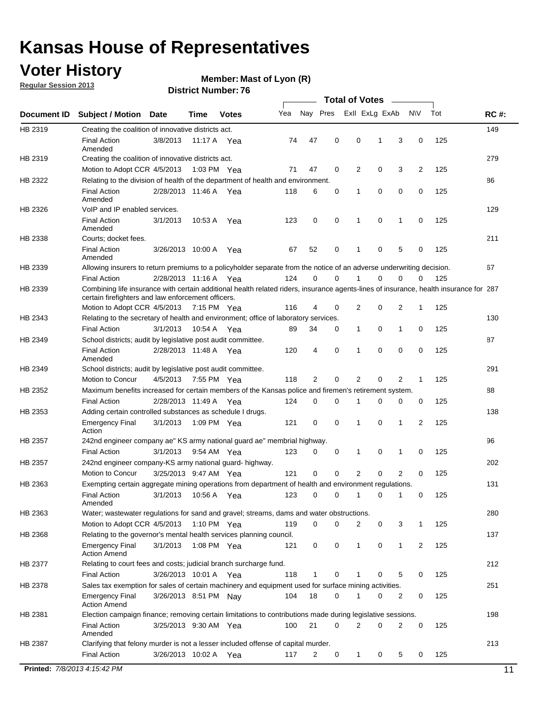### **Voter History**

**Member: Mast of Lyon (R)** 

**Regular Session 2013**

#### **District Number: 76**

|             |                                                                                                                                                                                             |                       |             |              |     |          |   | <b>Total of Votes</b> |   |                |           |     |             |
|-------------|---------------------------------------------------------------------------------------------------------------------------------------------------------------------------------------------|-----------------------|-------------|--------------|-----|----------|---|-----------------------|---|----------------|-----------|-----|-------------|
| Document ID | <b>Subject / Motion</b>                                                                                                                                                                     | <b>Date</b>           | Time        | <b>Votes</b> | Yea | Nay Pres |   | Exll ExLg ExAb        |   |                | <b>NV</b> | Tot | <b>RC#:</b> |
| HB 2319     | Creating the coalition of innovative districts act.                                                                                                                                         |                       |             |              |     |          |   |                       |   |                |           |     | 149         |
|             | <b>Final Action</b><br>Amended                                                                                                                                                              | 3/8/2013              | 11:17 A Yea |              | 74  | 47       | 0 | 0                     | 1 | 3              | 0         | 125 |             |
| HB 2319     | Creating the coalition of innovative districts act.                                                                                                                                         |                       |             |              |     |          |   |                       |   |                |           |     | 279         |
|             | Motion to Adopt CCR 4/5/2013                                                                                                                                                                |                       | 1:03 PM Yea |              | 71  | 47       | 0 | 2                     | 0 | 3              | 2         | 125 |             |
| HB 2322     | Relating to the division of health of the department of health and environment.                                                                                                             |                       |             |              |     |          |   |                       |   |                |           |     | 86          |
|             | <b>Final Action</b><br>Amended                                                                                                                                                              | 2/28/2013 11:46 A Yea |             |              | 118 | 6        | 0 | 1                     | 0 | 0              | 0         | 125 |             |
| HB 2326     | VoIP and IP enabled services.                                                                                                                                                               |                       |             |              |     |          |   |                       |   |                |           |     | 129         |
|             | <b>Final Action</b><br>Amended                                                                                                                                                              | 3/1/2013              | 10:53 A     | Yea          | 123 | 0        | 0 | 1                     | 0 | 1              | 0         | 125 |             |
| HB 2338     | Courts; docket fees.                                                                                                                                                                        |                       |             |              |     |          |   |                       |   |                |           |     | 211         |
|             | <b>Final Action</b><br>Amended                                                                                                                                                              | 3/26/2013 10:00 A     |             | Yea          | 67  | 52       | 0 | 1                     | 0 | 5              | 0         | 125 |             |
| HB 2339     | Allowing insurers to return premiums to a policyholder separate from the notice of an adverse underwriting decision.                                                                        |                       |             |              |     |          |   |                       |   |                |           |     | 67          |
|             | <b>Final Action</b>                                                                                                                                                                         | 2/28/2013 11:16 A Yea |             |              | 124 | 0        | 0 |                       | 0 | 0              | 0         | 125 |             |
| HB 2339     | Combining life insurance with certain additional health related riders, insurance agents-lines of insurance, health insurance for 287<br>certain firefighters and law enforcement officers. |                       |             |              |     |          |   |                       |   |                |           |     |             |
|             | Motion to Adopt CCR 4/5/2013 7:15 PM Yea                                                                                                                                                    |                       |             |              | 116 | 4        | 0 | 2                     | 0 | 2              | 1         | 125 |             |
| HB 2343     | Relating to the secretary of health and environment; office of laboratory services.                                                                                                         |                       |             |              |     |          |   |                       |   |                |           |     | 130         |
|             | <b>Final Action</b>                                                                                                                                                                         | 3/1/2013              | 10:54 A Yea |              | 89  | 34       | 0 | 1                     | 0 | 1              | 0         | 125 |             |
| HB 2349     | School districts; audit by legislative post audit committee.                                                                                                                                |                       |             |              |     |          |   |                       |   |                |           |     | 87          |
|             | <b>Final Action</b><br>Amended                                                                                                                                                              | 2/28/2013 11:48 A Yea |             |              | 120 | 4        | 0 | 1                     | 0 | 0              | 0         | 125 |             |
| HB 2349     | School districts; audit by legislative post audit committee.                                                                                                                                |                       |             |              |     |          |   |                       |   |                |           |     | 291         |
|             | Motion to Concur                                                                                                                                                                            | 4/5/2013              | 7:55 PM Yea |              | 118 | 2        | 0 | 2                     | 0 | $\overline{2}$ | 1         | 125 |             |
| HB 2352     | Maximum benefits increased for certain members of the Kansas police and firemen's retirement system.                                                                                        |                       |             |              |     |          |   |                       |   |                |           |     | 88          |
|             | <b>Final Action</b>                                                                                                                                                                         | 2/28/2013 11:49 A     |             | Yea          | 124 | 0        | 0 | 1                     | 0 | 0              | 0         | 125 |             |
| HB 2353     | Adding certain controlled substances as schedule I drugs.                                                                                                                                   |                       |             |              |     |          |   |                       |   |                |           |     | 138         |
|             | <b>Emergency Final</b><br>Action                                                                                                                                                            | 3/1/2013              |             | 1:09 PM Yea  | 121 | 0        | 0 | 1                     | 0 | 1              | 2         | 125 |             |
| HB 2357     | 242nd engineer company ae" KS army national guard ae" membrial highway.                                                                                                                     |                       |             |              |     |          |   |                       |   |                |           |     | 96          |
|             | <b>Final Action</b>                                                                                                                                                                         | 3/1/2013              | 9:54 AM Yea |              | 123 | 0        | 0 | 1                     | 0 | 1              | 0         | 125 |             |
| HB 2357     | 242nd engineer company-KS army national guard- highway.                                                                                                                                     |                       |             |              |     |          |   |                       |   |                |           |     | 202         |
|             | Motion to Concur                                                                                                                                                                            | 3/25/2013 9:47 AM Yea |             |              | 121 | 0        | 0 | 2                     | 0 | 2              | 0         | 125 |             |
| HB 2363     | Exempting certain aggregate mining operations from department of health and environment regulations.                                                                                        |                       |             |              |     |          |   |                       |   |                |           |     | 131         |
|             | <b>Final Action</b><br>Amended                                                                                                                                                              | 3/1/2013              | 10:56 A     | Yea          | 123 | 0        | 0 | 1                     | 0 | 1              | 0         | 125 |             |
| HB 2363     | Water; wastewater regulations for sand and gravel; streams, dams and water obstructions.                                                                                                    |                       |             |              |     |          |   |                       |   |                |           |     | 280         |
|             | Motion to Adopt CCR 4/5/2013                                                                                                                                                                |                       | 1:10 PM Yea |              | 119 | 0        | 0 | 2                     | 0 | 3              | 1         | 125 |             |
| HB 2368     | Relating to the governor's mental health services planning council.                                                                                                                         |                       |             |              |     |          |   |                       |   |                |           |     | 137         |
|             | <b>Emergency Final</b><br><b>Action Amend</b>                                                                                                                                               | 3/1/2013              |             | 1:08 PM Yea  | 121 | 0        | 0 | $\mathbf{1}$          | 0 | 1              | 2         | 125 |             |
| HB 2377     | Relating to court fees and costs; judicial branch surcharge fund.                                                                                                                           |                       |             |              |     |          |   |                       |   |                |           |     | 212         |
|             | <b>Final Action</b>                                                                                                                                                                         | 3/26/2013 10:01 A Yea |             |              | 118 | 1        | 0 |                       | 0 | 5              | 0         | 125 |             |
| HB 2378     | Sales tax exemption for sales of certain machinery and equipment used for surface mining activities.                                                                                        |                       |             |              |     |          |   |                       |   |                |           |     | 251         |
|             | <b>Emergency Final</b><br><b>Action Amend</b>                                                                                                                                               | 3/26/2013 8:51 PM Nay |             |              | 104 | 18       | 0 |                       | 0 | 2              | 0         | 125 |             |
| HB 2381     | Election campaign finance; removing certain limitations to contributions made during legislative sessions.                                                                                  |                       |             |              |     |          |   |                       |   |                |           |     | 198         |
|             | <b>Final Action</b><br>Amended                                                                                                                                                              | 3/25/2013 9:30 AM Yea |             |              | 100 | 21       | 0 | $\overline{2}$        | 0 | 2              | 0         | 125 |             |
| HB 2387     | Clarifying that felony murder is not a lesser included offense of capital murder.<br><b>Final Action</b>                                                                                    | 3/26/2013 10:02 A Yea |             |              | 117 | 2        | 0 | $\mathbf{1}$          | 0 | 5              | 0         | 125 | 213         |
|             |                                                                                                                                                                                             |                       |             |              |     |          |   |                       |   |                |           |     |             |

**Printed:** *7/8/2013 4:15:42 PM* 11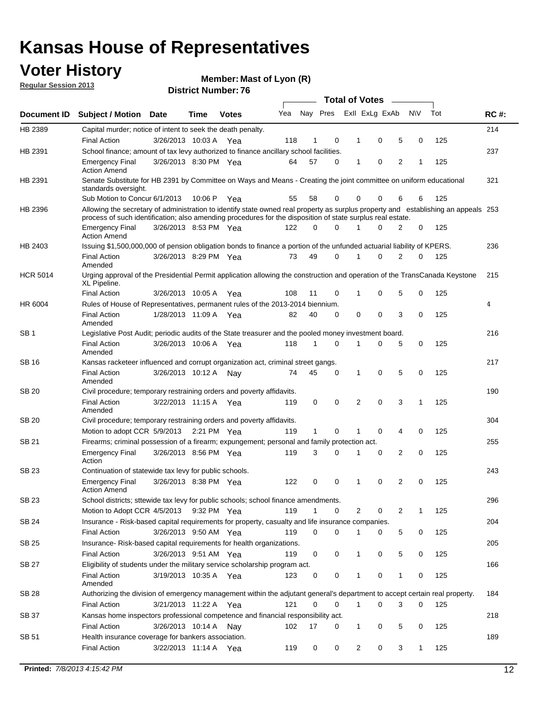### **Voter History**

**Member: Mast of Lyon (R)** 

**Regular Session 2013**

|                       |                                                                                                                                                                                                                                                  |                       | <b>Total of Votes</b><br>$\sim$ |              |     |    |          |   |                         |                |           |     |             |
|-----------------------|--------------------------------------------------------------------------------------------------------------------------------------------------------------------------------------------------------------------------------------------------|-----------------------|---------------------------------|--------------|-----|----|----------|---|-------------------------|----------------|-----------|-----|-------------|
| Document ID           | <b>Subject / Motion Date</b>                                                                                                                                                                                                                     |                       | Time                            | <b>Votes</b> | Yea |    |          |   | Nay Pres Exll ExLg ExAb |                | <b>NV</b> | Tot | <b>RC#:</b> |
| HB 2389               | Capital murder; notice of intent to seek the death penalty.                                                                                                                                                                                      |                       |                                 |              |     |    |          |   |                         |                |           |     | 214         |
|                       | <b>Final Action</b>                                                                                                                                                                                                                              | 3/26/2013 10:03 A     |                                 | Yea          | 118 | 1  | 0        |   | 0<br>1                  | 5              | 0         | 125 |             |
| HB 2391               | School finance; amount of tax levy authorized to finance ancillary school facilities.                                                                                                                                                            |                       |                                 |              |     |    |          |   |                         |                |           |     | 237         |
|                       | <b>Emergency Final</b><br><b>Action Amend</b>                                                                                                                                                                                                    | 3/26/2013 8:30 PM Yea |                                 |              | 64  | 57 | $\Omega$ |   | 0<br>1                  | $\overline{2}$ | 1         | 125 |             |
| HB 2391               | Senate Substitute for HB 2391 by Committee on Ways and Means - Creating the joint committee on uniform educational<br>standards oversight.                                                                                                       |                       |                                 |              |     |    |          |   |                         |                |           |     | 321         |
|                       | Sub Motion to Concur 6/1/2013                                                                                                                                                                                                                    |                       | 10:06 P                         | Yea          | 55  | 58 | 0        |   | $\Omega$<br>0           | 6              | 6         | 125 |             |
| HB 2396               | Allowing the secretary of administration to identify state owned real property as surplus property and establishing an appeals 253<br>process of such identification; also amending procedures for the disposition of state surplus real estate. |                       |                                 |              |     |    |          |   |                         |                |           |     |             |
|                       | <b>Emergency Final</b><br><b>Action Amend</b>                                                                                                                                                                                                    | 3/26/2013 8:53 PM Yea |                                 |              | 122 | 0  | $\Omega$ |   | $\Omega$                | 2              | 0         | 125 |             |
| HB 2403               | Issuing \$1,500,000,000 of pension obligation bonds to finance a portion of the unfunded actuarial liability of KPERS.                                                                                                                           |                       |                                 |              |     |    |          |   |                         |                |           |     | 236         |
|                       | <b>Final Action</b><br>Amended                                                                                                                                                                                                                   | 3/26/2013 8:29 PM Yea |                                 |              | 73  | 49 | 0        | 1 | 0                       | 2              | 0         | 125 |             |
| <b>HCR 5014</b>       | Urging approval of the Presidential Permit application allowing the construction and operation of the TransCanada Keystone<br>XL Pipeline.                                                                                                       |                       |                                 |              |     |    |          |   |                         |                |           |     | 215         |
|                       | <b>Final Action</b>                                                                                                                                                                                                                              | 3/26/2013 10:05 A     |                                 | Yea          | 108 | 11 | 0        |   | 0<br>1                  | 5              | 0         | 125 |             |
| HR 6004               | Rules of House of Representatives, permanent rules of the 2013-2014 biennium.                                                                                                                                                                    |                       |                                 |              |     |    |          |   |                         |                |           |     | 4           |
|                       | <b>Final Action</b><br>Amended                                                                                                                                                                                                                   | 1/28/2013 11:09 A Yea |                                 |              | 82  | 40 | $\Omega$ |   | $\Omega$<br>0           | 3              | $\Omega$  | 125 |             |
| SB <sub>1</sub>       | Legislative Post Audit; periodic audits of the State treasurer and the pooled money investment board.                                                                                                                                            |                       |                                 |              |     |    |          |   |                         |                |           |     | 216         |
|                       | <b>Final Action</b><br>Amended                                                                                                                                                                                                                   | 3/26/2013 10:06 A     |                                 | Yea          | 118 | 1  | 0        |   | 0<br>1                  | 5              | 0         | 125 |             |
| SB 16                 | Kansas racketeer influenced and corrupt organization act, criminal street gangs.                                                                                                                                                                 |                       |                                 |              |     |    |          |   |                         |                |           |     | 217         |
|                       | <b>Final Action</b><br>Amended                                                                                                                                                                                                                   | 3/26/2013 10:12 A     |                                 | Nav          | 74  | 45 | 0        |   | 0<br>1                  | 5              | 0         | 125 |             |
| SB 20                 | Civil procedure; temporary restraining orders and poverty affidavits.                                                                                                                                                                            |                       |                                 |              |     |    |          |   |                         |                |           |     | 190         |
|                       | <b>Final Action</b><br>Amended                                                                                                                                                                                                                   | 3/22/2013 11:15 A Yea |                                 |              | 119 | 0  | 0        |   | $\overline{2}$<br>0     | 3              | 1         | 125 |             |
| <b>SB 20</b>          | Civil procedure; temporary restraining orders and poverty affidavits.                                                                                                                                                                            |                       |                                 |              |     |    |          |   |                         |                |           |     | 304         |
|                       | 125<br>Motion to adopt CCR 5/9/2013<br>2:21 PM Yea<br>119<br>1<br>0<br>0<br>4<br>0                                                                                                                                                               |                       |                                 |              |     |    |          |   |                         |                |           |     |             |
| SB 21                 | Firearms; criminal possession of a firearm; expungement; personal and family protection act.                                                                                                                                                     |                       |                                 |              |     |    |          |   |                         |                |           |     | 255         |
|                       | <b>Emergency Final</b><br>Action                                                                                                                                                                                                                 | 3/26/2013 8:56 PM Yea |                                 |              | 119 | 3  | $\Omega$ |   | 0<br>1                  | $\overline{2}$ | 0         | 125 |             |
| SB 23                 | Continuation of statewide tax levy for public schools.                                                                                                                                                                                           |                       |                                 |              |     |    |          |   |                         |                |           |     | 243         |
|                       | <b>Emergency Final</b><br><b>Action Amend</b>                                                                                                                                                                                                    | 3/26/2013 8:38 PM Yea |                                 |              | 122 | 0  | 0        |   | 0<br>1                  | 2              | 0         | 125 |             |
| SB 23<br><b>SB 24</b> | School districts; sttewide tax levy for public schools; school finance amendments.                                                                                                                                                               |                       |                                 |              |     |    |          |   |                         |                |           |     | 296         |
|                       | Motion to Adopt CCR 4/5/2013                                                                                                                                                                                                                     |                       |                                 | 9:32 PM Yea  | 119 | 1  | 0        |   | 2<br>0                  | 2              | 1         | 125 |             |
|                       | Insurance - Risk-based capital requirements for property, casualty and life insurance companies.                                                                                                                                                 |                       |                                 |              |     |    |          |   |                         |                |           |     | 204         |
|                       | <b>Final Action</b>                                                                                                                                                                                                                              | 3/26/2013 9:50 AM Yea |                                 |              | 119 | 0  | 0        |   | 0<br>1                  | 5              | 0         | 125 |             |
| <b>SB 25</b>          | Insurance-Risk-based capital requirements for health organizations.                                                                                                                                                                              |                       |                                 |              |     |    |          |   |                         |                |           |     | 205         |
|                       | <b>Final Action</b>                                                                                                                                                                                                                              | 3/26/2013 9:51 AM Yea |                                 |              | 119 | 0  | 0        |   | 0<br>1                  | 5              | 0         | 125 |             |
| <b>SB 27</b>          | Eligibility of students under the military service scholarship program act.                                                                                                                                                                      |                       |                                 |              |     |    |          |   |                         |                |           |     | 166         |
|                       | <b>Final Action</b><br>Amended                                                                                                                                                                                                                   | 3/19/2013 10:35 A Yea |                                 |              | 123 | 0  | 0        |   | 0<br>1                  | 1              | 0         | 125 |             |
| SB 28                 | Authorizing the division of emergency management within the adjutant general's department to accept certain real property.                                                                                                                       |                       |                                 |              |     |    |          |   |                         |                |           |     | 184         |
|                       | <b>Final Action</b>                                                                                                                                                                                                                              | 3/21/2013 11:22 A Yea |                                 |              | 121 | 0  | 0        |   | 0<br>$\mathbf{1}$       | 3              | 0         | 125 |             |
| SB 37                 | Kansas home inspectors professional competence and financial responsibility act.                                                                                                                                                                 |                       |                                 |              |     |    |          |   |                         |                |           |     | 218         |
|                       | <b>Final Action</b>                                                                                                                                                                                                                              | 3/26/2013 10:14 A     |                                 | Nav          | 102 | 17 | 0        |   | 0<br>1                  | 5              | 0         | 125 |             |
| SB 51                 | Health insurance coverage for bankers association.                                                                                                                                                                                               |                       |                                 |              |     |    |          |   |                         |                |           |     | 189         |
|                       | <b>Final Action</b>                                                                                                                                                                                                                              | 3/22/2013 11:14 A Yea |                                 |              | 119 | 0  | 0        |   | 2<br>0                  | 3              | 1         | 125 |             |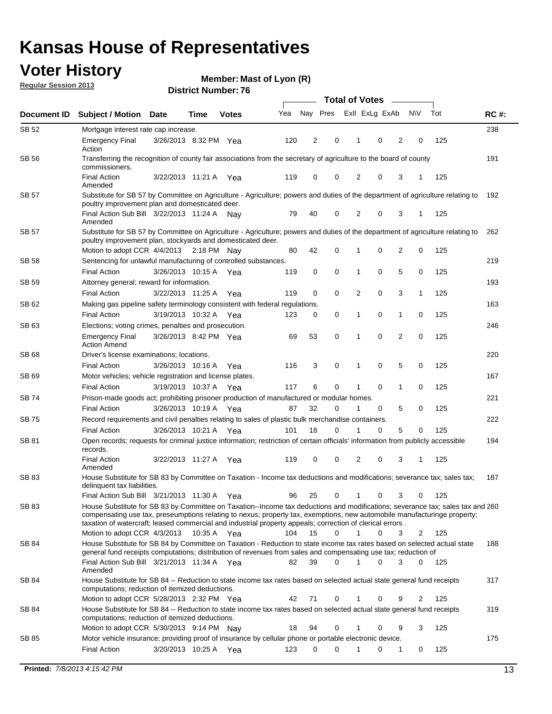### **Voter History**

**Member: Mast of Lyon (R)** 

**Regular Session 2013**

|              |                                                                                                                                                                                                                                                                                                                                                                                                         |                       |             |              |     | <b>Total of Votes</b> |             |                |   |                |             |     |             |  |
|--------------|---------------------------------------------------------------------------------------------------------------------------------------------------------------------------------------------------------------------------------------------------------------------------------------------------------------------------------------------------------------------------------------------------------|-----------------------|-------------|--------------|-----|-----------------------|-------------|----------------|---|----------------|-------------|-----|-------------|--|
| Document ID  | <b>Subject / Motion Date</b>                                                                                                                                                                                                                                                                                                                                                                            |                       | Time        | <b>Votes</b> | Yea | Nay Pres              |             | Exll ExLg ExAb |   |                | <b>NV</b>   | Tot | <b>RC#:</b> |  |
| SB 52        | Mortgage interest rate cap increase.                                                                                                                                                                                                                                                                                                                                                                    |                       |             |              |     |                       |             |                |   |                |             |     | 238         |  |
|              | <b>Emergency Final</b><br>Action                                                                                                                                                                                                                                                                                                                                                                        | 3/26/2013 8:32 PM Yea |             |              | 120 | 2                     | 0           |                | 0 | 2              | 0           | 125 |             |  |
| SB 56        | Transferring the recognition of county fair associations from the secretary of agriculture to the board of county<br>commissioners.                                                                                                                                                                                                                                                                     |                       |             |              |     |                       |             |                |   |                |             |     | 191         |  |
|              | <b>Final Action</b><br>Amended                                                                                                                                                                                                                                                                                                                                                                          | 3/22/2013 11:21 A     |             | Yea          | 119 | 0                     | 0           | 2              | 0 | 3              | 1           | 125 |             |  |
| SB 57        | Substitute for SB 57 by Committee on Agriculture - Agriculture; powers and duties of the department of agriculture relating to<br>poultry improvement plan and domesticated deer.                                                                                                                                                                                                                       |                       |             |              |     |                       |             |                |   |                |             |     | 192         |  |
|              | Final Action Sub Bill 3/22/2013 11:24 A<br>Amended                                                                                                                                                                                                                                                                                                                                                      |                       |             | Nav          | 79  | 40                    | 0           | 2              | 0 | 3              | 1           | 125 |             |  |
| SB 57        | Substitute for SB 57 by Committee on Agriculture - Agriculture; powers and duties of the department of agriculture relating to<br>poultry improvement plan, stockyards and domesticated deer.<br>Motion to adopt CCR 4/4/2013 2:18 PM Nay                                                                                                                                                               |                       |             |              | 80  | 42                    | 0           | 1              | 0 | 2              | 0           | 125 | 262         |  |
| SB 58        | Sentencing for unlawful manufacturing of controlled substances.                                                                                                                                                                                                                                                                                                                                         |                       |             |              |     |                       |             |                |   |                |             |     | 219         |  |
|              | <b>Final Action</b>                                                                                                                                                                                                                                                                                                                                                                                     | 3/26/2013 10:15 A     |             |              | 119 | 0                     | 0           | 1              | 0 | 5              | 0           | 125 |             |  |
| <b>SB 59</b> | Attorney general; reward for information.                                                                                                                                                                                                                                                                                                                                                               |                       |             | Yea          |     |                       |             |                |   |                |             |     | 193         |  |
|              | <b>Final Action</b>                                                                                                                                                                                                                                                                                                                                                                                     | 3/22/2013 11:25 A     |             |              | 119 | 0                     | 0           | 2              | 0 | 3              | 1           | 125 |             |  |
| SB 62        | Making gas pipeline safety terminology consistent with federal regulations.                                                                                                                                                                                                                                                                                                                             |                       |             | Yea          |     |                       |             |                |   |                |             |     | 163         |  |
|              | <b>Final Action</b>                                                                                                                                                                                                                                                                                                                                                                                     | 3/19/2013 10:32 A     |             |              | 123 | 0                     | 0           | 1              | 0 | 1              | 0           | 125 |             |  |
| SB 63        |                                                                                                                                                                                                                                                                                                                                                                                                         |                       |             | Yea          |     |                       |             |                |   |                |             |     | 246         |  |
|              | Elections; voting crimes, penalties and prosecution.<br><b>Emergency Final</b><br><b>Action Amend</b>                                                                                                                                                                                                                                                                                                   | 3/26/2013 8:42 PM Yea |             |              | 69  | 53                    | $\mathbf 0$ | 1              | 0 | $\overline{2}$ | $\mathbf 0$ | 125 |             |  |
| SB 68        | Driver's license examinations; locations.                                                                                                                                                                                                                                                                                                                                                               |                       |             |              |     |                       |             |                |   |                |             |     | 220         |  |
|              | <b>Final Action</b>                                                                                                                                                                                                                                                                                                                                                                                     | 3/26/2013 10:16 A     |             | Yea          | 116 | 3                     | 0           | 1              | 0 | 5              | 0           | 125 |             |  |
| SB 69        | Motor vehicles; vehicle registration and license plates.                                                                                                                                                                                                                                                                                                                                                |                       |             |              |     |                       |             |                |   |                |             |     | 167         |  |
|              | <b>Final Action</b>                                                                                                                                                                                                                                                                                                                                                                                     | 3/19/2013 10:37 A     |             | Yea          | 117 | 6                     | 0           | 1              | 0 | $\mathbf{1}$   | 0           | 125 |             |  |
| SB 74        | Prison-made goods act; prohibiting prisoner production of manufactured or modular homes.                                                                                                                                                                                                                                                                                                                |                       |             |              |     |                       |             |                |   |                |             |     | 221         |  |
|              | <b>Final Action</b>                                                                                                                                                                                                                                                                                                                                                                                     | 3/26/2013 10:19 A     |             | Yea          | 87  | 32                    | 0           | 1              | 0 | 5              | 0           | 125 |             |  |
| SB 75        | Record requirements and civil penalties relating to sales of plastic bulk merchandise containers.                                                                                                                                                                                                                                                                                                       |                       |             |              |     |                       |             |                |   |                |             |     | 222         |  |
|              | <b>Final Action</b>                                                                                                                                                                                                                                                                                                                                                                                     | 3/26/2013 10:21 A     |             | Yea          | 101 | 18                    | 0           | 1              | 0 | 5              | 0           | 125 |             |  |
| SB 81        | Open records; requests for criminal justice information; restriction of certain officials' information from publicly accessible<br>records.                                                                                                                                                                                                                                                             |                       |             |              |     |                       |             |                |   |                |             |     | 194         |  |
|              | <b>Final Action</b><br>Amended                                                                                                                                                                                                                                                                                                                                                                          | 3/22/2013 11:27 A     |             | Yea          | 119 | 0                     | 0           | 2              | 0 | 3              | 1           | 125 |             |  |
| <b>SB 83</b> | House Substitute for SB 83 by Committee on Taxation - Income tax deductions and modifications; severance tax; sales tax;<br>delinquent tax liabilities.                                                                                                                                                                                                                                                 |                       |             |              |     |                       |             |                |   |                |             |     | 187         |  |
|              | Final Action Sub Bill 3/21/2013 11:30 A Yea                                                                                                                                                                                                                                                                                                                                                             |                       |             |              | 96  | 25                    | 0           | 1              | 0 | 3              | 0           | 125 |             |  |
| SB 83        | House Substitute for SB 83 by Committee on Taxation--Income tax deductions and modifications; severance tax; sales tax and 260<br>compensating use tax, preseumptions relating to nexus; property tax, exemptions, new automobile manufacturinge property;<br>taxation of watercraft; leased commercial and industrial property appeals; correction of clerical errors.<br>Motion to adopt CCR 4/3/2013 |                       | 10:35 A Yea |              | 104 | 15                    | 0           | $\mathbf{1}$   | 0 | 3              | 2           | 125 |             |  |
| SB 84        | House Substitute for SB 84 by Committee on Taxation - Reduction to state income tax rates based on selected actual state                                                                                                                                                                                                                                                                                |                       |             |              |     |                       |             |                |   |                |             |     | 188         |  |
|              | general fund receipts computations; distribution of revenues from sales and compensating use tax; reduction of<br>Final Action Sub Bill 3/21/2013 11:34 A Yea                                                                                                                                                                                                                                           |                       |             |              | 82  | 39                    | $\Omega$    |                | 0 | 3              | $\Omega$    | 125 |             |  |
| SB 84        | Amended<br>House Substitute for SB 84 -- Reduction to state income tax rates based on selected actual state general fund receipts                                                                                                                                                                                                                                                                       |                       |             |              |     |                       |             |                |   |                |             |     | 317         |  |
|              | computations; reduction of itemized deductions.<br>Motion to adopt CCR 5/28/2013 2:32 PM Yea                                                                                                                                                                                                                                                                                                            |                       |             |              | 42  | 71                    | 0           |                | 0 | 9              | 2           | 125 |             |  |
| SB 84        | House Substitute for SB 84 -- Reduction to state income tax rates based on selected actual state general fund receipts                                                                                                                                                                                                                                                                                  |                       |             |              |     |                       |             |                |   |                |             |     | 319         |  |
|              | computations; reduction of itemized deductions.<br>Motion to adopt CCR 5/30/2013 9:14 PM Nay                                                                                                                                                                                                                                                                                                            |                       |             |              | 18  | 94                    | 0           |                | 0 | 9              | 3           | 125 |             |  |
| SB 85        | Motor vehicle insurance; providing proof of insurance by cellular phone or portable electronic device.                                                                                                                                                                                                                                                                                                  |                       |             |              |     |                       |             |                |   |                |             |     | 175         |  |
|              | <b>Final Action</b>                                                                                                                                                                                                                                                                                                                                                                                     | 3/20/2013 10:25 A Yea |             |              | 123 | 0                     | $\Omega$    |                | 0 | 1              | 0           | 125 |             |  |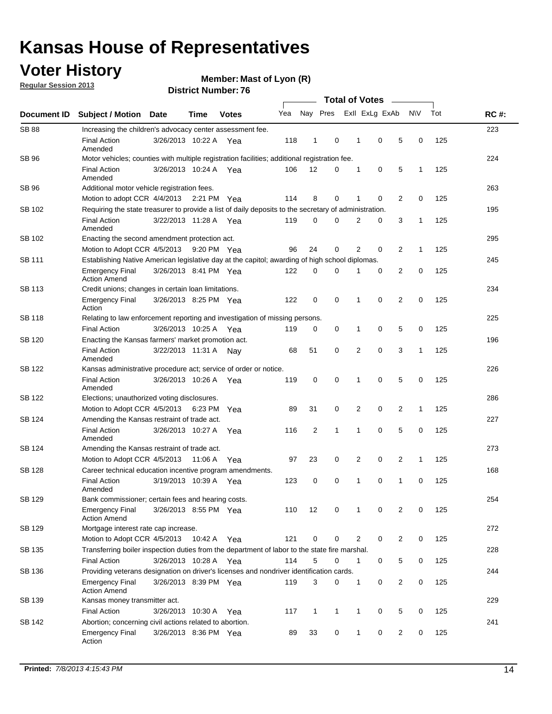### **Voter History**

**Member: Mast of Lyon (R)** 

**Regular Session 2013**

|                    |                                                                                                       | <b>PISUIVLIVUIIIDEL.</b> 7 V |             | <b>Total of Votes</b><br>$\sim$ |     |              |              |  |                |                |                |             |     |             |
|--------------------|-------------------------------------------------------------------------------------------------------|------------------------------|-------------|---------------------------------|-----|--------------|--------------|--|----------------|----------------|----------------|-------------|-----|-------------|
| <b>Document ID</b> | <b>Subject / Motion</b>                                                                               | Date                         | <b>Time</b> | <b>Votes</b>                    | Yea | Nay Pres     |              |  |                | Exll ExLg ExAb |                | N\V         | Tot | <b>RC#:</b> |
| <b>SB 88</b>       | Increasing the children's advocacy center assessment fee.                                             |                              |             |                                 |     |              |              |  |                |                |                |             |     | 223         |
|                    | <b>Final Action</b><br>Amended                                                                        | 3/26/2013 10:22 A Yea        |             |                                 | 118 | $\mathbf 1$  | 0            |  | $\mathbf 1$    | 0              | 5              | 0           | 125 |             |
| SB 96              | Motor vehicles; counties with multiple registration facilities; additional registration fee.          |                              |             |                                 |     |              |              |  |                |                |                |             |     | 224         |
|                    | <b>Final Action</b><br>Amended                                                                        | 3/26/2013 10:24 A            |             | Yea                             | 106 | 12           | 0            |  | $\mathbf{1}$   | 0              | 5              | 1           | 125 |             |
| SB 96              | Additional motor vehicle registration fees.                                                           |                              |             |                                 |     |              |              |  |                |                |                |             |     | 263         |
|                    | Motion to adopt CCR 4/4/2013 2:21 PM Yea                                                              |                              |             |                                 | 114 | 8            | 0            |  | 1              | 0              | 2              | 0           | 125 |             |
| SB 102             | Requiring the state treasurer to provide a list of daily deposits to the secretary of administration. |                              |             |                                 |     |              |              |  |                |                |                |             |     | 195         |
|                    | <b>Final Action</b><br>Amended                                                                        | 3/22/2013 11:28 A Yea        |             |                                 | 119 | 0            | 0            |  | 2              | 0              | 3              | 1           | 125 |             |
| SB 102             | Enacting the second amendment protection act.                                                         |                              |             |                                 |     |              |              |  |                |                |                |             |     | 295         |
|                    | Motion to Adopt CCR 4/5/2013 9:20 PM Yea                                                              |                              |             |                                 | 96  | 24           | 0            |  | 2              | $\Omega$       | 2              | 1           | 125 |             |
| <b>SB 111</b>      | Establishing Native American legislative day at the capitol; awarding of high school diplomas.        |                              |             |                                 |     |              |              |  |                |                |                |             |     | 245         |
|                    | <b>Emergency Final</b><br><b>Action Amend</b>                                                         | 3/26/2013 8:41 PM Yea        |             |                                 | 122 | 0            | 0            |  | 1              | 0              | 2              | 0           | 125 |             |
| SB 113             | Credit unions; changes in certain loan limitations.                                                   |                              |             |                                 |     |              |              |  |                |                |                |             |     | 234         |
|                    | <b>Emergency Final</b><br>Action                                                                      | 3/26/2013 8:25 PM Yea        |             |                                 | 122 | 0            | 0            |  | 1              | 0              | 2              | 0           | 125 |             |
| <b>SB 118</b>      | Relating to law enforcement reporting and investigation of missing persons.                           |                              |             |                                 |     |              |              |  |                |                |                |             |     | 225         |
|                    | <b>Final Action</b>                                                                                   | 3/26/2013 10:25 A            |             | Yea                             | 119 | 0            | 0            |  | 1              | 0              | 5              | $\mathbf 0$ | 125 |             |
| SB 120             | Enacting the Kansas farmers' market promotion act.                                                    |                              |             |                                 |     |              |              |  |                |                |                |             |     | 196         |
|                    | <b>Final Action</b><br>Amended                                                                        | 3/22/2013 11:31 A Nay        |             |                                 | 68  | 51           | 0            |  | 2              | $\mathbf 0$    | 3              | 1           | 125 |             |
| SB 122             | Kansas administrative procedure act; service of order or notice.                                      |                              |             |                                 |     |              |              |  |                |                | 226            |             |     |             |
|                    | <b>Final Action</b><br>Amended                                                                        | 3/26/2013 10:26 A Yea        |             |                                 | 119 | 0            | 0            |  | $\mathbf{1}$   | 0              | 5              | $\mathbf 0$ | 125 |             |
| SB 122             | Elections; unauthorized voting disclosures.                                                           |                              |             |                                 |     |              |              |  |                |                |                | 286         |     |             |
|                    | Motion to Adopt CCR 4/5/2013                                                                          |                              | 6:23 PM     | Yea                             | 89  | 31           | 0            |  | 2              | 0              | 2              | $\mathbf 1$ | 125 |             |
| SB 124             | Amending the Kansas restraint of trade act.                                                           |                              |             |                                 |     |              |              |  |                |                |                |             |     | 227         |
|                    | <b>Final Action</b><br>Amended                                                                        | 3/26/2013 10:27 A            |             | Yea                             | 116 | 2            | 1            |  | 1              | 0              | 5              | 0           | 125 |             |
| SB 124             | Amending the Kansas restraint of trade act.                                                           |                              |             |                                 |     |              |              |  |                |                |                |             |     | 273         |
|                    | Motion to Adopt CCR 4/5/2013 11:06 A                                                                  |                              |             | Yea                             | 97  | 23           | 0            |  | 2              | $\mathbf 0$    | 2              | 1           | 125 |             |
| <b>SB 128</b>      | Career technical education incentive program amendments.                                              |                              |             |                                 |     |              |              |  |                |                |                |             |     | 168         |
|                    | <b>Final Action</b><br>Amended                                                                        | 3/19/2013 10:39 A            |             | Yea                             | 123 | 0            | 0            |  | 1              | 0              | 1              | 0           | 125 |             |
| SB 129             | Bank commissioner; certain fees and hearing costs.                                                    |                              |             |                                 |     |              |              |  |                |                |                |             |     | 254         |
|                    | <b>Emergency Final</b><br><b>Action Amend</b>                                                         | 3/26/2013 8:55 PM Yea        |             |                                 | 110 | 12           | 0            |  | 1              | 0              | $\overline{2}$ | 0           | 125 |             |
| <b>SB 129</b>      | Mortgage interest rate cap increase.                                                                  |                              |             |                                 |     |              |              |  |                |                |                |             |     | 272         |
|                    | Motion to Adopt CCR 4/5/2013 10:42 A Yea                                                              |                              |             |                                 | 121 | 0            | $\mathbf 0$  |  | $\overline{2}$ | 0              | 2              | 0           | 125 |             |
| SB 135             | Transferring boiler inspection duties from the department of labor to the state fire marshal.         |                              |             |                                 |     |              |              |  |                |                |                |             |     | 228         |
|                    | <b>Final Action</b>                                                                                   | 3/26/2013 10:28 A Yea        |             |                                 | 114 | 5            | 0            |  | $\mathbf{1}$   | 0              | 5              | 0           | 125 |             |
| SB 136             | Providing veterans designation on driver's licenses and nondriver identification cards.               |                              |             |                                 |     |              |              |  |                |                |                |             |     | 244         |
|                    | <b>Emergency Final</b><br><b>Action Amend</b>                                                         | 3/26/2013 8:39 PM Yea        |             |                                 | 119 | 3            | 0            |  | 1              | 0              | 2              | 0           | 125 |             |
| SB 139             | Kansas money transmitter act.                                                                         |                              |             |                                 |     |              |              |  |                |                |                |             |     | 229         |
|                    | <b>Final Action</b>                                                                                   | 3/26/2013 10:30 A            |             | Yea                             | 117 | $\mathbf{1}$ | $\mathbf{1}$ |  | $\mathbf{1}$   | 0              | 5              | 0           | 125 |             |
| SB 142             | Abortion; concerning civil actions related to abortion.                                               |                              |             |                                 |     |              |              |  |                |                |                |             |     | 241         |
|                    | <b>Emergency Final</b><br>Action                                                                      | 3/26/2013 8:36 PM Yea        |             |                                 | 89  | 33           | 0            |  | $\mathbf{1}$   | 0              | 2              | 0           | 125 |             |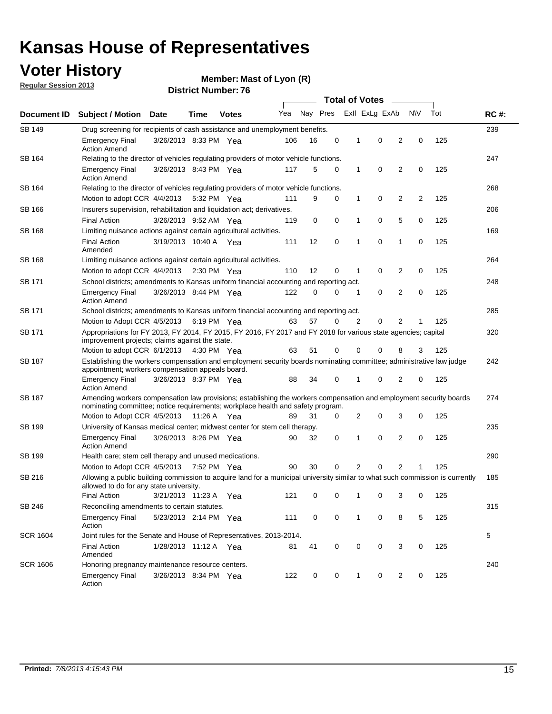## **Voter History**

**Member: Mast of Lyon (R)** 

**Regular Session 2013**

| Document ID     |                                                                                                                                                                                                       |                                                                                                                                                                                 |             |              | <b>Total of Votes</b><br>$\sim$ |          |   |   |                |                |           |     |             |  |
|-----------------|-------------------------------------------------------------------------------------------------------------------------------------------------------------------------------------------------------|---------------------------------------------------------------------------------------------------------------------------------------------------------------------------------|-------------|--------------|---------------------------------|----------|---|---|----------------|----------------|-----------|-----|-------------|--|
|                 | <b>Subject / Motion Date</b>                                                                                                                                                                          |                                                                                                                                                                                 | Time        | <b>Votes</b> | Yea                             | Nay Pres |   |   | Exll ExLg ExAb |                | <b>NV</b> | Tot | <b>RC#:</b> |  |
| <b>SB 149</b>   |                                                                                                                                                                                                       | 239<br>Drug screening for recipients of cash assistance and unemployment benefits.                                                                                              |             |              |                                 |          |   |   |                |                |           |     |             |  |
|                 | <b>Emergency Final</b><br><b>Action Amend</b>                                                                                                                                                         | 3/26/2013 8:33 PM Yea                                                                                                                                                           |             |              | 106                             | 16       | 0 | 1 | 0              | 2              | 0         | 125 |             |  |
| SB 164          | Relating to the director of vehicles regulating providers of motor vehicle functions.                                                                                                                 |                                                                                                                                                                                 |             |              |                                 |          |   |   |                |                |           |     | 247         |  |
|                 | <b>Emergency Final</b><br><b>Action Amend</b>                                                                                                                                                         | 3/26/2013 8:43 PM Yea                                                                                                                                                           |             |              | 117                             | 5        | 0 | 1 | 0              | 2              | 0         | 125 |             |  |
| SB 164          | Relating to the director of vehicles regulating providers of motor vehicle functions.                                                                                                                 |                                                                                                                                                                                 |             |              |                                 |          |   |   |                |                |           |     | 268         |  |
|                 | Motion to adopt CCR 4/4/2013                                                                                                                                                                          |                                                                                                                                                                                 | 5:32 PM Yea |              | 111                             | 9        | 0 | 1 | 0              | 2              | 2         | 125 |             |  |
| SB 166          | Insurers supervision, rehabilitation and liquidation act; derivatives.                                                                                                                                |                                                                                                                                                                                 |             |              |                                 |          |   |   |                |                |           |     | 206         |  |
|                 | <b>Final Action</b>                                                                                                                                                                                   | 3/26/2013 9:52 AM Yea                                                                                                                                                           |             |              | 119                             | 0        | 0 | 1 | 0              | 5              | 0         | 125 |             |  |
| SB 168          | Limiting nuisance actions against certain agricultural activities.                                                                                                                                    |                                                                                                                                                                                 |             |              |                                 |          |   |   |                |                |           |     | 169         |  |
|                 | <b>Final Action</b><br>Amended                                                                                                                                                                        | 3/19/2013 10:40 A Yea                                                                                                                                                           |             |              | 111                             | 12       | 0 | 1 | 0              | 1              | 0         | 125 |             |  |
| SB 168          | Limiting nuisance actions against certain agricultural activities.                                                                                                                                    |                                                                                                                                                                                 |             |              |                                 |          |   |   |                |                |           |     | 264         |  |
|                 | Motion to adopt CCR 4/4/2013                                                                                                                                                                          |                                                                                                                                                                                 | 2:30 PM Yea |              | 110                             | 12       | 0 | 1 | 0              | 2              | 0         | 125 |             |  |
| <b>SB 171</b>   | School districts; amendments to Kansas uniform financial accounting and reporting act.                                                                                                                |                                                                                                                                                                                 |             |              |                                 |          |   |   |                |                |           |     | 248         |  |
|                 | <b>Emergency Final</b><br><b>Action Amend</b>                                                                                                                                                         | 3/26/2013 8:44 PM Yea                                                                                                                                                           |             |              | 122                             | 0        | 0 | 1 | 0              | 2              | 0         | 125 |             |  |
| SB 171          | School districts; amendments to Kansas uniform financial accounting and reporting act.                                                                                                                |                                                                                                                                                                                 |             |              |                                 |          |   |   |                |                |           |     | 285         |  |
|                 | Motion to Adopt CCR 4/5/2013<br>6:19 PM Yea<br>63<br>57<br>2<br>0<br>2<br>125<br>0                                                                                                                    |                                                                                                                                                                                 |             |              |                                 |          |   |   |                |                |           |     |             |  |
| SB 171          | Appropriations for FY 2013, FY 2014, FY 2015, FY 2016, FY 2017 and FY 2018 for various state agencies; capital<br>improvement projects; claims against the state.                                     |                                                                                                                                                                                 |             |              |                                 |          |   |   |                |                |           | 320 |             |  |
|                 | Motion to adopt CCR 6/1/2013 4:30 PM Yea                                                                                                                                                              |                                                                                                                                                                                 |             |              | 63                              | 51       | 0 | 0 | 0              | 8              | 3         | 125 |             |  |
| SB 187          |                                                                                                                                                                                                       | Establishing the workers compensation and employment security boards nominating committee; administrative law judge<br>appointment; workers compensation appeals board.         |             |              |                                 |          |   |   |                |                |           |     |             |  |
|                 | <b>Emergency Final</b><br><b>Action Amend</b>                                                                                                                                                         | 3/26/2013 8:37 PM Yea                                                                                                                                                           |             |              | 88                              | 34       | 0 | 1 | 0              | 2              | 0         | 125 |             |  |
| SB 187          | Amending workers compensation law provisions; establishing the workers compensation and employment security boards<br>nominating committee; notice requirements; workplace health and safety program. |                                                                                                                                                                                 |             |              |                                 |          |   |   |                |                |           |     | 274         |  |
|                 | Motion to Adopt CCR 4/5/2013 11:26 A Yea                                                                                                                                                              |                                                                                                                                                                                 |             |              | 89                              | 31       | 0 | 2 | 0              | 3              | 0         | 125 |             |  |
| SB 199          | University of Kansas medical center; midwest center for stem cell therapy.                                                                                                                            |                                                                                                                                                                                 |             |              |                                 |          |   |   |                |                |           |     | 235         |  |
|                 | <b>Emergency Final</b><br><b>Action Amend</b>                                                                                                                                                         | 3/26/2013 8:26 PM Yea                                                                                                                                                           |             |              | 90                              | 32       | 0 | 1 | 0              | 2              | 0         | 125 |             |  |
| SB 199          | Health care; stem cell therapy and unused medications.                                                                                                                                                |                                                                                                                                                                                 |             |              |                                 |          |   |   |                |                |           |     | 290         |  |
|                 | Motion to Adopt CCR 4/5/2013                                                                                                                                                                          |                                                                                                                                                                                 | 7:52 PM Yea |              | 90                              | 30       | 0 | 2 | 0              | $\overline{2}$ | 1         | 125 |             |  |
| SB 216          |                                                                                                                                                                                                       | Allowing a public building commission to acquire land for a municipal university similar to what such commission is currently<br>185<br>allowed to do for any state university. |             |              |                                 |          |   |   |                |                |           |     |             |  |
|                 | <b>Final Action</b>                                                                                                                                                                                   | 3/21/2013 11:23 A Yea                                                                                                                                                           |             |              | 121                             | 0        | 0 | 1 | 0              | 3              | 0         | 125 |             |  |
| SB 246          | Reconciling amendments to certain statutes.                                                                                                                                                           |                                                                                                                                                                                 |             |              |                                 |          |   |   |                |                |           |     | 315         |  |
|                 | Emergency Final<br>Action                                                                                                                                                                             | 5/23/2013 2:14 PM Yea                                                                                                                                                           |             |              | 111                             | 0        | 0 | 1 | 0              | 8              | 5         | 125 |             |  |
| <b>SCR 1604</b> | Joint rules for the Senate and House of Representatives, 2013-2014.                                                                                                                                   |                                                                                                                                                                                 |             |              |                                 |          |   |   |                |                |           |     | 5           |  |
|                 | <b>Final Action</b><br>Amended                                                                                                                                                                        | 1/28/2013 11:12 A Yea                                                                                                                                                           |             |              | 81                              | 41       | 0 | 0 | 0              | 3              | 0         | 125 |             |  |
| <b>SCR 1606</b> | Honoring pregnancy maintenance resource centers.                                                                                                                                                      |                                                                                                                                                                                 |             |              |                                 |          |   |   |                |                |           |     | 240         |  |
|                 | <b>Emergency Final</b><br>Action                                                                                                                                                                      | 3/26/2013 8:34 PM Yea                                                                                                                                                           |             |              | 122                             | 0        | 0 | 1 | 0              | 2              | 0         | 125 |             |  |